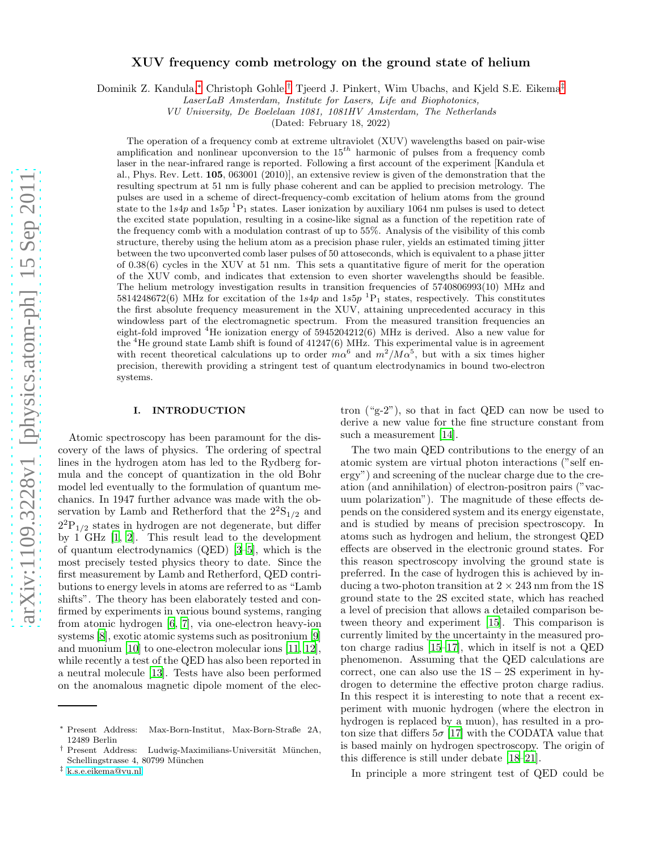# XUV frequency comb metrology on the ground state of helium

Dominik Z. Kandula,[∗](#page-0-0) Christoph Gohle,[†](#page-0-1) Tjeerd J. Pinkert, Wim Ubachs, and Kjeld S.E. Eikema[‡](#page-0-2)

*LaserLaB Amsterdam, Institute for Lasers, Life and Biophotonics,*

*VU University, De Boelelaan 1081, 1081HV Amsterdam, The Netherlands*

(Dated: February 18, 2022)

The operation of a frequency comb at extreme ultraviolet (XUV) wavelengths based on pair-wise amplification and nonlinear upconversion to the  $15^{th}$  harmonic of pulses from a frequency comb laser in the near-infrared range is reported. Following a first account of the experiment [Kandula et al., Phys. Rev. Lett. 105, 063001 (2010)], an extensive review is given of the demonstration that the resulting spectrum at 51 nm is fully phase coherent and can be applied to precision metrology. The pulses are used in a scheme of direct-frequency-comb excitation of helium atoms from the ground state to the 1s4p and 1s5p <sup>1</sup>P<sub>1</sub> states. Laser ionization by auxiliary 1064 nm pulses is used to detect the excited state population, resulting in a cosine-like signal as a function of the repetition rate of the frequency comb with a modulation contrast of up to 55%. Analysis of the visibility of this comb structure, thereby using the helium atom as a precision phase ruler, yields an estimated timing jitter between the two upconverted comb laser pulses of 50 attoseconds, which is equivalent to a phase jitter of 0.38(6) cycles in the XUV at 51 nm. This sets a quantitative figure of merit for the operation of the XUV comb, and indicates that extension to even shorter wavelengths should be feasible. The helium metrology investigation results in transition frequencies of 5740806993(10) MHz and 5814248672(6) MHz for excitation of the 1s4p and 1s5p  ${}^{1}P_{1}$  states, respectively. This constitutes the first absolute frequency measurement in the XUV, attaining unprecedented accuracy in this windowless part of the electromagnetic spectrum. From the measured transition frequencies an eight-fold improved  ${}^{4}$ He ionization energy of  $5945204212(6)$  MHz is derived. Also a new value for the  ${}^{4}$ He ground state Lamb shift is found of  $41247(6)$  MHz. This experimental value is in agreement with recent theoretical calculations up to order  $m\alpha^6$  and  $m^2/M\alpha^5$ , but with a six times higher precision, therewith providing a stringent test of quantum electrodynamics in bound two-electron systems.

### I. INTRODUCTION

Atomic spectroscopy has been paramount for the discovery of the laws of physics. The ordering of spectral lines in the hydrogen atom has led to the Rydberg formula and the concept of quantization in the old Bohr model led eventually to the formulation of quantum mechanics. In 1947 further advance was made with the observation by Lamb and Retherford that the  $2^{2}S_{1/2}$  and  $2^{2}P_{1/2}$  states in hydrogen are not degenerate, but differ by  $1$  GHz [\[1,](#page-16-0) [2](#page-16-1)]. This result lead to the development of quantum electrodynamics (QED) [\[3](#page-16-2)[–5\]](#page-16-3), which is the most precisely tested physics theory to date. Since the first measurement by Lamb and Retherford, QED contributions to energy levels in atoms are referred to as "Lamb shifts". The theory has been elaborately tested and confirmed by experiments in various bound systems, ranging from atomic hydrogen [\[6,](#page-16-4) [7](#page-16-5)], via one-electron heavy-ion systems [\[8\]](#page-16-6), exotic atomic systems such as positronium [\[9](#page-16-7)] and muonium [\[10\]](#page-16-8) to one-electron molecular ions [\[11](#page-16-9), [12\]](#page-16-10), while recently a test of the QED has also been reported in a neutral molecule [\[13\]](#page-16-11). Tests have also been performed on the anomalous magnetic dipole moment of the electron ("g-2"), so that in fact QED can now be used to derive a new value for the fine structure constant from such a measurement [\[14](#page-16-12)].

The two main QED contributions to the energy of an atomic system are virtual photon interactions ("self energy") and screening of the nuclear charge due to the creation (and annihilation) of electron-positron pairs ("vacuum polarization"). The magnitude of these effects depends on the considered system and its energy eigenstate, and is studied by means of precision spectroscopy. In atoms such as hydrogen and helium, the strongest QED effects are observed in the electronic ground states. For this reason spectroscopy involving the ground state is preferred. In the case of hydrogen this is achieved by inducing a two-photon transition at  $2 \times 243$  nm from the 1S ground state to the 2S excited state, which has reached a level of precision that allows a detailed comparison between theory and experiment [\[15\]](#page-16-13). This comparison is currently limited by the uncertainty in the measured proton charge radius [\[15](#page-16-13)[–17\]](#page-16-14), which in itself is not a QED phenomenon. Assuming that the QED calculations are correct, one can also use the  $1S - 2S$  experiment in hydrogen to determine the effective proton charge radius. In this respect it is interesting to note that a recent experiment with muonic hydrogen (where the electron in hydrogen is replaced by a muon), has resulted in a proton size that differs  $5\sigma$  [\[17\]](#page-16-14) with the CODATA value that is based mainly on hydrogen spectroscopy. The origin of this difference is still under debate [\[18](#page-16-15)[–21\]](#page-16-16).

In principle a more stringent test of QED could be

<span id="page-0-0"></span><sup>∗</sup> Present Address: Max-Born-Institut, Max-Born-Straße 2A, 12489 Berlin

<span id="page-0-1"></span> $^\dagger$  Present Address: Ludwig-Maximilians-Universität München, Schellingstrasse 4, 80799 München

<span id="page-0-2"></span><sup>‡</sup> [k.s.e.eikema@vu.nl](mailto:k.s.e.eikema@vu.nl)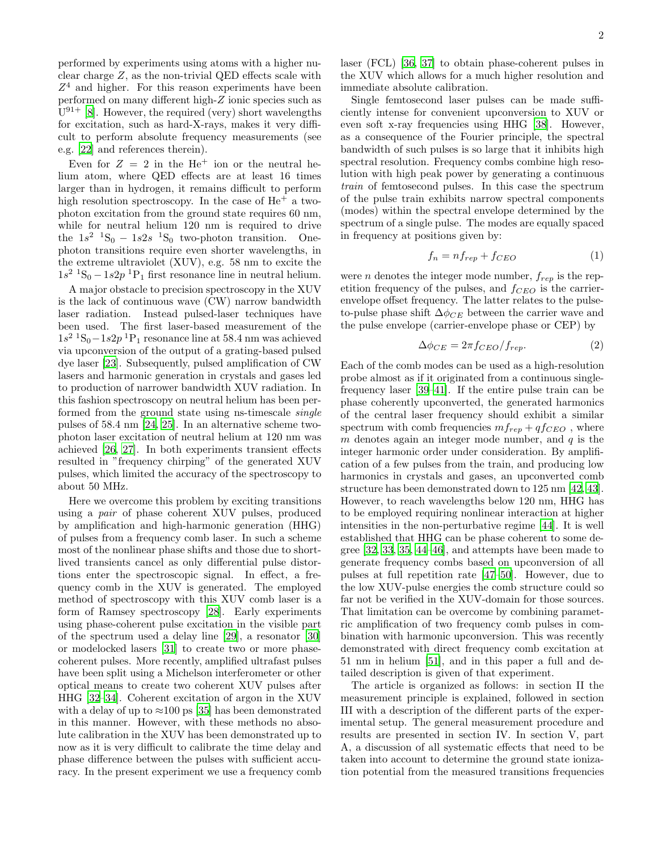performed by experiments using atoms with a higher nuclear charge Z, as the non-trivial QED effects scale with  $Z<sup>4</sup>$  and higher. For this reason experiments have been performed on many different high-Z ionic species such as  $U^{91+}$  [\[8](#page-16-6)]. However, the required (very) short wavelengths for excitation, such as hard-X-rays, makes it very difficult to perform absolute frequency measurements (see e.g. [\[22\]](#page-16-17) and references therein).

Even for  $Z = 2$  in the He<sup>+</sup> ion or the neutral helium atom, where QED effects are at least 16 times larger than in hydrogen, it remains difficult to perform high resolution spectroscopy. In the case of  $He<sup>+</sup>$  a twophoton excitation from the ground state requires 60 nm, while for neutral helium 120 nm is required to drive the  $1s^2$  <sup>1</sup>S<sub>0</sub> – 1s2s <sup>1</sup>S<sub>0</sub> two-photon transition. Onephoton transitions require even shorter wavelengths, in the extreme ultraviolet (XUV), e.g. 58 nm to excite the  $1s^2$  <sup>1</sup>S<sub>0</sub> –  $1s2p$  <sup>1</sup>P<sub>1</sub> first resonance line in neutral helium.

A major obstacle to precision spectroscopy in the XUV is the lack of continuous wave (CW) narrow bandwidth laser radiation. Instead pulsed-laser techniques have been used. The first laser-based measurement of the  $1s^2$  <sup>1</sup>S<sub>0</sub> − 1s2p<sup>1</sup>P<sub>1</sub> resonance line at 58.4 nm was achieved via upconversion of the output of a grating-based pulsed dye laser [\[23\]](#page-16-18). Subsequently, pulsed amplification of CW lasers and harmonic generation in crystals and gases led to production of narrower bandwidth XUV radiation. In this fashion spectroscopy on neutral helium has been performed from the ground state using ns-timescale single pulses of 58.4 nm [\[24,](#page-16-19) [25\]](#page-16-20). In an alternative scheme twophoton laser excitation of neutral helium at 120 nm was achieved [\[26,](#page-16-21) [27](#page-16-22)]. In both experiments transient effects resulted in "frequency chirping" of the generated XUV pulses, which limited the accuracy of the spectroscopy to about 50 MHz.

Here we overcome this problem by exciting transitions using a pair of phase coherent XUV pulses, produced by amplification and high-harmonic generation (HHG) of pulses from a frequency comb laser. In such a scheme most of the nonlinear phase shifts and those due to shortlived transients cancel as only differential pulse distortions enter the spectroscopic signal. In effect, a frequency comb in the XUV is generated. The employed method of spectroscopy with this XUV comb laser is a form of Ramsey spectroscopy [\[28\]](#page-16-23). Early experiments using phase-coherent pulse excitation in the visible part of the spectrum used a delay line [\[29](#page-16-24)], a resonator [\[30](#page-16-25)] or modelocked lasers [\[31\]](#page-16-26) to create two or more phasecoherent pulses. More recently, amplified ultrafast pulses have been split using a Michelson interferometer or other optical means to create two coherent XUV pulses after HHG [\[32](#page-16-27)[–34](#page-16-28)]. Coherent excitation of argon in the XUV with a delay of up to  $\approx$ 100 ps [\[35\]](#page-16-29) has been demonstrated in this manner. However, with these methods no absolute calibration in the XUV has been demonstrated up to now as it is very difficult to calibrate the time delay and phase difference between the pulses with sufficient accuracy. In the present experiment we use a frequency comb laser (FCL) [\[36,](#page-16-30) [37\]](#page-16-31) to obtain phase-coherent pulses in the XUV which allows for a much higher resolution and immediate absolute calibration.

Single femtosecond laser pulses can be made sufficiently intense for convenient upconversion to XUV or even soft x-ray frequencies using HHG [\[38\]](#page-17-0). However, as a consequence of the Fourier principle, the spectral bandwidth of such pulses is so large that it inhibits high spectral resolution. Frequency combs combine high resolution with high peak power by generating a continuous train of femtosecond pulses. In this case the spectrum of the pulse train exhibits narrow spectral components (modes) within the spectral envelope determined by the spectrum of a single pulse. The modes are equally spaced in frequency at positions given by:

<span id="page-1-0"></span>
$$
f_n = n f_{rep} + f_{CEO} \tag{1}
$$

were *n* denotes the integer mode number,  $f_{rep}$  is the repetition frequency of the pulses, and  $f_{CEO}$  is the carrierenvelope offset frequency. The latter relates to the pulseto-pulse phase shift  $\Delta \phi_{CE}$  between the carrier wave and the pulse envelope (carrier-envelope phase or CEP) by

$$
\Delta \phi_{CE} = 2\pi f_{CEO}/f_{rep}.\tag{2}
$$

Each of the comb modes can be used as a high-resolution probe almost as if it originated from a continuous singlefrequency laser [\[39](#page-17-1)[–41](#page-17-2)]. If the entire pulse train can be phase coherently upconverted, the generated harmonics of the central laser frequency should exhibit a similar spectrum with comb frequencies  $mf_{rep} + qf_{CEO}$ , where m denotes again an integer mode number, and  $q$  is the integer harmonic order under consideration. By amplification of a few pulses from the train, and producing low harmonics in crystals and gases, an upconverted comb structure has been demonstrated down to 125 nm [\[42,](#page-17-3) [43\]](#page-17-4). However, to reach wavelengths below 120 nm, HHG has to be employed requiring nonlinear interaction at higher intensities in the non-perturbative regime [\[44](#page-17-5)]. It is well established that HHG can be phase coherent to some degree [\[32,](#page-16-27) [33](#page-16-32), [35,](#page-16-29) [44](#page-17-5)[–46](#page-17-6)], and attempts have been made to generate frequency combs based on upconversion of all pulses at full repetition rate [\[47](#page-17-7)[–50\]](#page-17-8). However, due to the low XUV-pulse energies the comb structure could so far not be verified in the XUV-domain for those sources. That limitation can be overcome by combining parametric amplification of two frequency comb pulses in combination with harmonic upconversion. This was recently demonstrated with direct frequency comb excitation at 51 nm in helium [\[51](#page-17-9)], and in this paper a full and detailed description is given of that experiment.

The article is organized as follows: in section II the measurement principle is explained, followed in section III with a description of the different parts of the experimental setup. The general measurement procedure and results are presented in section IV. In section V, part A, a discussion of all systematic effects that need to be taken into account to determine the ground state ionization potential from the measured transitions frequencies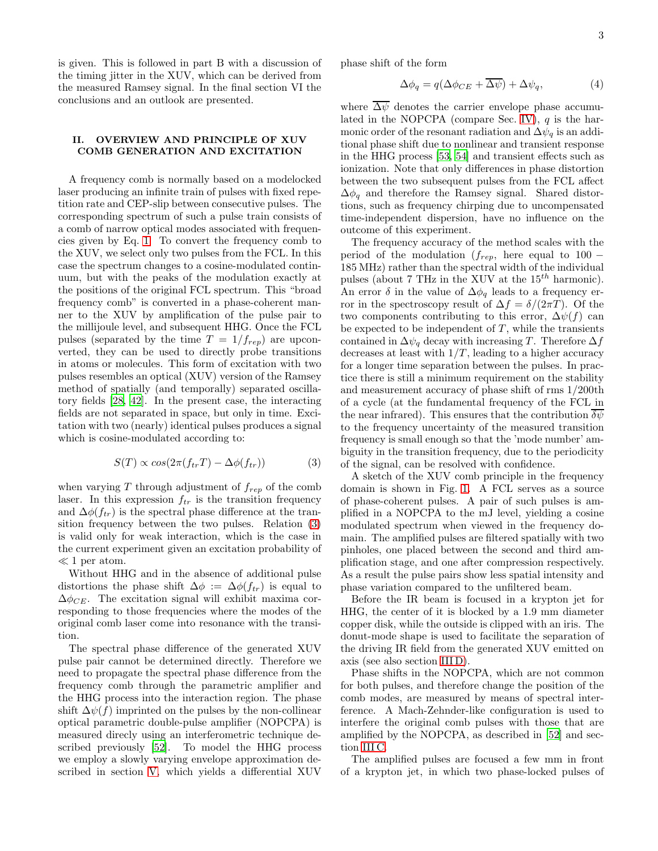is given. This is followed in part B with a discussion of the timing jitter in the XUV, which can be derived from the measured Ramsey signal. In the final section VI the conclusions and an outlook are presented.

## II. OVERVIEW AND PRINCIPLE OF XUV COMB GENERATION AND EXCITATION

A frequency comb is normally based on a modelocked laser producing an infinite train of pulses with fixed repetition rate and CEP-slip between consecutive pulses. The corresponding spectrum of such a pulse train consists of a comb of narrow optical modes associated with frequencies given by Eq. [1.](#page-1-0) To convert the frequency comb to the XUV, we select only two pulses from the FCL. In this case the spectrum changes to a cosine-modulated continuum, but with the peaks of the modulation exactly at the positions of the original FCL spectrum. This "broad frequency comb" is converted in a phase-coherent manner to the XUV by amplification of the pulse pair to the millijoule level, and subsequent HHG. Once the FCL pulses (separated by the time  $T = 1/f_{rep}$ ) are upconverted, they can be used to directly probe transitions in atoms or molecules. This form of excitation with two pulses resembles an optical (XUV) version of the Ramsey method of spatially (and temporally) separated oscillatory fields [\[28,](#page-16-23) [42\]](#page-17-3). In the present case, the interacting fields are not separated in space, but only in time. Excitation with two (nearly) identical pulses produces a signal which is cosine-modulated according to:

<span id="page-2-0"></span>
$$
S(T) \propto \cos(2\pi (f_{tr}T) - \Delta\phi(f_{tr})) \tag{3}
$$

when varying T through adjustment of  $f_{rep}$  of the comb laser. In this expression  $f_{tr}$  is the transition frequency and  $\Delta \phi(f_{tr})$  is the spectral phase difference at the transition frequency between the two pulses. Relation [\(3\)](#page-2-0) is valid only for weak interaction, which is the case in the current experiment given an excitation probability of  $\ll 1$  per atom.

Without HHG and in the absence of additional pulse distortions the phase shift  $\Delta \phi := \Delta \phi(f_{tr})$  is equal to  $\Delta\phi_{CE}$ . The excitation signal will exhibit maxima corresponding to those frequencies where the modes of the original comb laser come into resonance with the transition.

The spectral phase difference of the generated XUV pulse pair cannot be determined directly. Therefore we need to propagate the spectral phase difference from the frequency comb through the parametric amplifier and the HHG process into the interaction region. The phase shift  $\Delta \psi(f)$  imprinted on the pulses by the non-collinear optical parametric double-pulse amplifier (NOPCPA) is measured direcly using an interferometric technique described previously [\[52](#page-17-10)]. To model the HHG process we employ a slowly varying envelope approximation described in section [V,](#page-7-0) which yields a differential XUV

phase shift of the form

$$
\Delta \phi_q = q(\Delta \phi_{CE} + \overline{\Delta \psi}) + \Delta \psi_q, \tag{4}
$$

where  $\overline{\Delta \psi}$  denotes the carrier envelope phase accumu-lated in the NOPCPA (compare Sec. [IV\)](#page-6-0),  $q$  is the harmonic order of the resonant radiation and  $\Delta \psi_q$  is an additional phase shift due to nonlinear and transient response in the HHG process [\[53,](#page-17-11) [54](#page-17-12)] and transient effects such as ionization. Note that only differences in phase distortion between the two subsequent pulses from the FCL affect  $\Delta\phi_q$  and therefore the Ramsey signal. Shared distortions, such as frequency chirping due to uncompensated time-independent dispersion, have no influence on the outcome of this experiment.

The frequency accuracy of the method scales with the period of the modulation  $(f_{rep},$  here equal to 100 − 185 MHz) rather than the spectral width of the individual pulses (about 7 THz in the XUV at the  $15<sup>th</sup>$  harmonic). An error  $\delta$  in the value of  $\Delta\phi_q$  leads to a frequency error in the spectroscopy result of  $\Delta f = \delta/(2\pi T)$ . Of the two components contributing to this error,  $\Delta \psi(f)$  can be expected to be independent of  $T$ , while the transients contained in  $\Delta \psi_q$  decay with increasing T. Therefore  $\Delta f$ decreases at least with  $1/T$ , leading to a higher accuracy for a longer time separation between the pulses. In practice there is still a minimum requirement on the stability and measurement accuracy of phase shift of rms 1/200th of a cycle (at the fundamental frequency of the FCL in the near infrared). This ensures that the contribution  $\overline{\delta \psi}$ to the frequency uncertainty of the measured transition frequency is small enough so that the 'mode number' ambiguity in the transition frequency, due to the periodicity of the signal, can be resolved with confidence.

A sketch of the XUV comb principle in the frequency domain is shown in Fig. [1.](#page-3-0) A FCL serves as a source of phase-coherent pulses. A pair of such pulses is amplified in a NOPCPA to the mJ level, yielding a cosine modulated spectrum when viewed in the frequency domain. The amplified pulses are filtered spatially with two pinholes, one placed between the second and third amplification stage, and one after compression respectively. As a result the pulse pairs show less spatial intensity and phase variation compared to the unfiltered beam.

Before the IR beam is focused in a krypton jet for HHG, the center of it is blocked by a 1.9 mm diameter copper disk, while the outside is clipped with an iris. The donut-mode shape is used to facilitate the separation of the driving IR field from the generated XUV emitted on axis (see also section [III D\)](#page-5-0).

Phase shifts in the NOPCPA, which are not common for both pulses, and therefore change the position of the comb modes, are measured by means of spectral interference. A Mach-Zehnder-like configuration is used to interfere the original comb pulses with those that are amplified by the NOPCPA, as described in [\[52\]](#page-17-10) and section [III C.](#page-4-0)

The amplified pulses are focused a few mm in front of a krypton jet, in which two phase-locked pulses of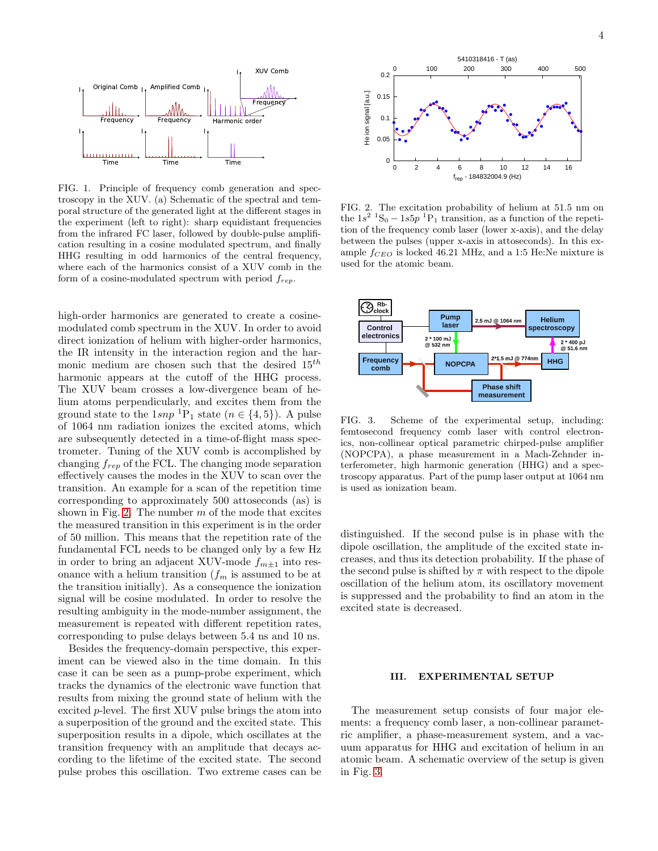

<span id="page-3-0"></span>FIG. 1. Principle of frequency comb generation and spectroscopy in the XUV. (a) Schematic of the spectral and temporal structure of the generated light at the different stages in the experiment (left to right): sharp equidistant frequencies from the infrared FC laser, followed by double-pulse amplification resulting in a cosine modulated spectrum, and finally HHG resulting in odd harmonics of the central frequency, where each of the harmonics consist of a XUV comb in the form of a cosine-modulated spectrum with period  $f_{rep}$ .

high-order harmonics are generated to create a cosinemodulated comb spectrum in the XUV. In order to avoid direct ionization of helium with higher-order harmonics, the IR intensity in the interaction region and the harmonic medium are chosen such that the desired  $15^{th}$ harmonic appears at the cutoff of the HHG process. The XUV beam crosses a low-divergence beam of helium atoms perpendicularly, and excites them from the ground state to the  $1snp^{-1}P_1$  state  $(n \in \{4, 5\})$ . A pulse of 1064 nm radiation ionizes the excited atoms, which are subsequently detected in a time-of-flight mass spectrometer. Tuning of the XUV comb is accomplished by changing  $f_{rep}$  of the FCL. The changing mode separation effectively causes the modes in the XUV to scan over the transition. An example for a scan of the repetition time corresponding to approximately 500 attoseconds (as) is shown in Fig. [2.](#page-3-1) The number  $m$  of the mode that excites the measured transition in this experiment is in the order of 50 million. This means that the repetition rate of the fundamental FCL needs to be changed only by a few Hz in order to bring an adjacent XUV-mode  $f_{m\pm 1}$  into resonance with a helium transition  $(f_m$  is assumed to be at the transition initially). As a consequence the ionization signal will be cosine modulated. In order to resolve the resulting ambiguity in the mode-number assignment, the measurement is repeated with different repetition rates, corresponding to pulse delays between 5.4 ns and 10 ns.

Besides the frequency-domain perspective, this experiment can be viewed also in the time domain. In this case it can be seen as a pump-probe experiment, which tracks the dynamics of the electronic wave function that results from mixing the ground state of helium with the excited p-level. The first XUV pulse brings the atom into a superposition of the ground and the excited state. This superposition results in a dipole, which oscillates at the transition frequency with an amplitude that decays according to the lifetime of the excited state. The second pulse probes this oscillation. Two extreme cases can be



<span id="page-3-1"></span>FIG. 2. The excitation probability of helium at 51.5 nm on the  $1s^2$   ${}^1S_0 - 1s5p$   ${}^1P_1$  transition, as a function of the repetition of the frequency comb laser (lower x-axis), and the delay between the pulses (upper x-axis in attoseconds). In this example  $f_{CEO}$  is locked 46.21 MHz, and a 1:5 He:Ne mixture is used for the atomic beam.



<span id="page-3-2"></span>FIG. 3. Scheme of the experimental setup, including: femtosecond frequency comb laser with control electronics, non-collinear optical parametric chirped-pulse amplifier (NOPCPA), a phase measurement in a Mach-Zehnder interferometer, high harmonic generation (HHG) and a spectroscopy apparatus. Part of the pump laser output at 1064 nm is used as ionization beam.

distinguished. If the second pulse is in phase with the dipole oscillation, the amplitude of the excited state increases, and thus its detection probability. If the phase of the second pulse is shifted by  $\pi$  with respect to the dipole oscillation of the helium atom, its oscillatory movement is suppressed and the probability to find an atom in the excited state is decreased.

### III. EXPERIMENTAL SETUP

The measurement setup consists of four major elements: a frequency comb laser, a non-collinear parametric amplifier, a phase-measurement system, and a vacuum apparatus for HHG and excitation of helium in an atomic beam. A schematic overview of the setup is given in Fig. [3.](#page-3-2)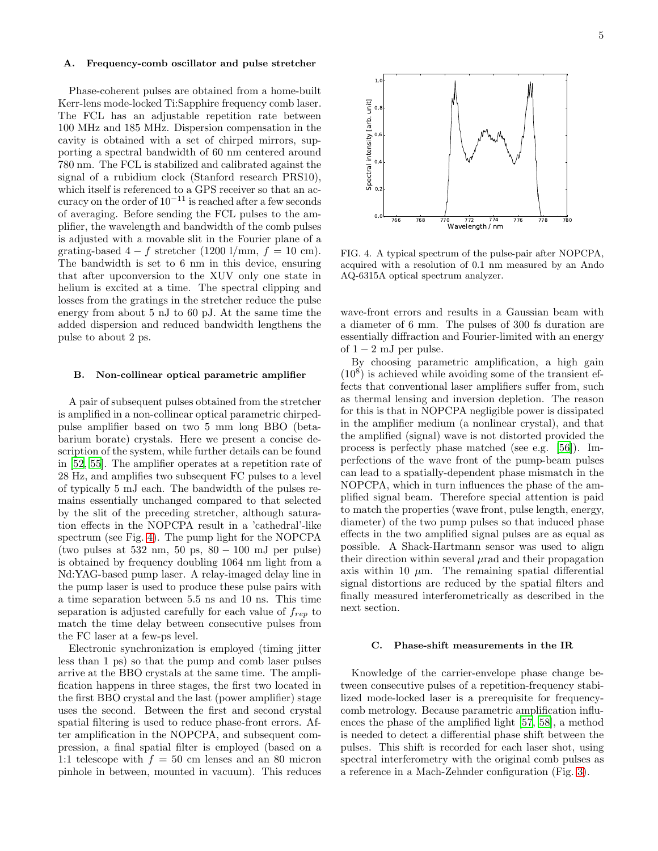### A. Frequency-comb oscillator and pulse stretcher

Phase-coherent pulses are obtained from a home-built Kerr-lens mode-locked Ti:Sapphire frequency comb laser. The FCL has an adjustable repetition rate between 100 MHz and 185 MHz. Dispersion compensation in the cavity is obtained with a set of chirped mirrors, supporting a spectral bandwidth of 60 nm centered around 780 nm. The FCL is stabilized and calibrated against the signal of a rubidium clock (Stanford research PRS10), which itself is referenced to a GPS receiver so that an accuracy on the order of  $10^{-11}$  is reached after a few seconds of averaging. Before sending the FCL pulses to the amplifier, the wavelength and bandwidth of the comb pulses is adjusted with a movable slit in the Fourier plane of a grating-based  $4 - f$  stretcher (1200 l/mm,  $f = 10$  cm). The bandwidth is set to 6 nm in this device, ensuring that after upconversion to the XUV only one state in helium is excited at a time. The spectral clipping and losses from the gratings in the stretcher reduce the pulse energy from about 5 nJ to 60 pJ. At the same time the added dispersion and reduced bandwidth lengthens the pulse to about 2 ps.

#### B. Non-collinear optical parametric amplifier

A pair of subsequent pulses obtained from the stretcher is amplified in a non-collinear optical parametric chirpedpulse amplifier based on two 5 mm long BBO (betabarium borate) crystals. Here we present a concise description of the system, while further details can be found in [\[52](#page-17-10), [55](#page-17-13)]. The amplifier operates at a repetition rate of 28 Hz, and amplifies two subsequent FC pulses to a level of typically 5 mJ each. The bandwidth of the pulses remains essentially unchanged compared to that selected by the slit of the preceding stretcher, although saturation effects in the NOPCPA result in a 'cathedral'-like spectrum (see Fig. [4\)](#page-4-1). The pump light for the NOPCPA (two pulses at  $532 \text{ nm}$ ,  $50 \text{ ps}$ ,  $80 - 100 \text{ mJ}$  per pulse) is obtained by frequency doubling 1064 nm light from a Nd:YAG-based pump laser. A relay-imaged delay line in the pump laser is used to produce these pulse pairs with a time separation between 5.5 ns and 10 ns. This time separation is adjusted carefully for each value of  $f_{rep}$  to match the time delay between consecutive pulses from the FC laser at a few-ps level.

Electronic synchronization is employed (timing jitter less than 1 ps) so that the pump and comb laser pulses arrive at the BBO crystals at the same time. The amplification happens in three stages, the first two located in the first BBO crystal and the last (power amplifier) stage uses the second. Between the first and second crystal spatial filtering is used to reduce phase-front errors. After amplification in the NOPCPA, and subsequent compression, a final spatial filter is employed (based on a 1:1 telescope with  $f = 50$  cm lenses and an 80 micron pinhole in between, mounted in vacuum). This reduces



<span id="page-4-1"></span>FIG. 4. A typical spectrum of the pulse-pair after NOPCPA, acquired with a resolution of 0.1 nm measured by an Ando AQ-6315A optical spectrum analyzer.

wave-front errors and results in a Gaussian beam with a diameter of 6 mm. The pulses of 300 fs duration are essentially diffraction and Fourier-limited with an energy of  $1 - 2$  mJ per pulse.

By choosing parametric amplification, a high gain  $(10<sup>8</sup>)$  is achieved while avoiding some of the transient effects that conventional laser amplifiers suffer from, such as thermal lensing and inversion depletion. The reason for this is that in NOPCPA negligible power is dissipated in the amplifier medium (a nonlinear crystal), and that the amplified (signal) wave is not distorted provided the process is perfectly phase matched (see e.g. [\[56\]](#page-17-14)). Imperfections of the wave front of the pump-beam pulses can lead to a spatially-dependent phase mismatch in the NOPCPA, which in turn influences the phase of the amplified signal beam. Therefore special attention is paid to match the properties (wave front, pulse length, energy, diameter) of the two pump pulses so that induced phase effects in the two amplified signal pulses are as equal as possible. A Shack-Hartmann sensor was used to align their direction within several  $\mu$ rad and their propagation axis within 10  $\mu$ m. The remaining spatial differential signal distortions are reduced by the spatial filters and finally measured interferometrically as described in the next section.

### <span id="page-4-0"></span>C. Phase-shift measurements in the IR

Knowledge of the carrier-envelope phase change between consecutive pulses of a repetition-frequency stabilized mode-locked laser is a prerequisite for frequencycomb metrology. Because parametric amplification influences the phase of the amplified light [\[57,](#page-17-15) [58\]](#page-17-16), a method is needed to detect a differential phase shift between the pulses. This shift is recorded for each laser shot, using spectral interferometry with the original comb pulses as a reference in a Mach-Zehnder configuration (Fig. [3\)](#page-3-2).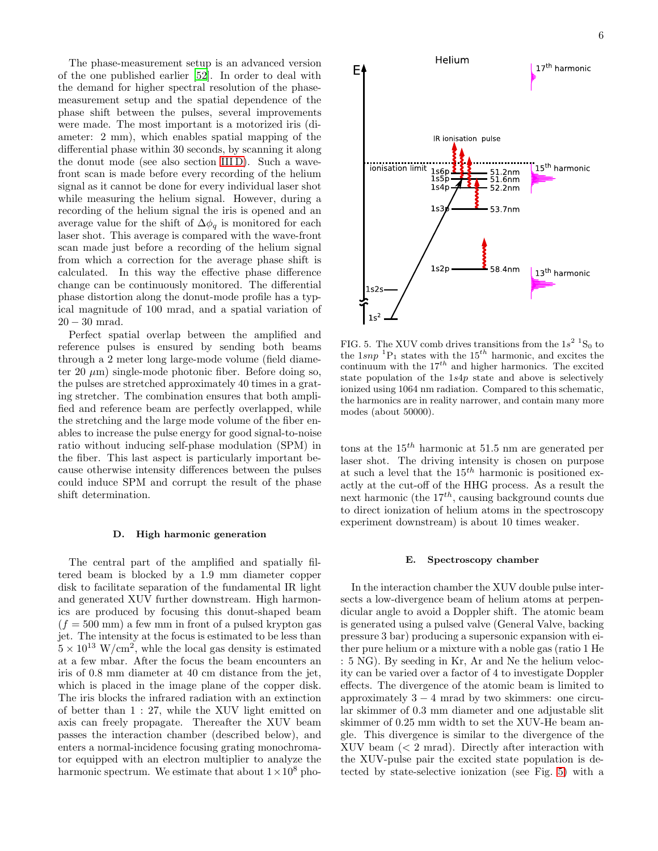The phase-measurement setup is an advanced version of the one published earlier [\[52\]](#page-17-10). In order to deal with the demand for higher spectral resolution of the phasemeasurement setup and the spatial dependence of the phase shift between the pulses, several improvements were made. The most important is a motorized iris (diameter: 2 mm), which enables spatial mapping of the differential phase within 30 seconds, by scanning it along the donut mode (see also section [III D\)](#page-5-0). Such a wavefront scan is made before every recording of the helium signal as it cannot be done for every individual laser shot while measuring the helium signal. However, during a recording of the helium signal the iris is opened and an average value for the shift of  $\Delta\phi_q$  is monitored for each laser shot. This average is compared with the wave-front scan made just before a recording of the helium signal from which a correction for the average phase shift is calculated. In this way the effective phase difference change can be continuously monitored. The differential phase distortion along the donut-mode profile has a typical magnitude of 100 mrad, and a spatial variation of  $20 - 30$  mrad.

Perfect spatial overlap between the amplified and reference pulses is ensured by sending both beams through a 2 meter long large-mode volume (field diameter 20  $\mu$ m) single-mode photonic fiber. Before doing so, the pulses are stretched approximately 40 times in a grating stretcher. The combination ensures that both amplified and reference beam are perfectly overlapped, while the stretching and the large mode volume of the fiber enables to increase the pulse energy for good signal-to-noise ratio without inducing self-phase modulation (SPM) in the fiber. This last aspect is particularly important because otherwise intensity differences between the pulses could induce SPM and corrupt the result of the phase shift determination.

### <span id="page-5-0"></span>D. High harmonic generation

The central part of the amplified and spatially filtered beam is blocked by a 1.9 mm diameter copper disk to facilitate separation of the fundamental IR light and generated XUV further downstream. High harmonics are produced by focusing this donut-shaped beam  $(f = 500 \text{ mm})$  a few mm in front of a pulsed krypton gas jet. The intensity at the focus is estimated to be less than  $5 \times 10^{13}$  W/cm<sup>2</sup>, whle the local gas density is estimated at a few mbar. After the focus the beam encounters an iris of 0.8 mm diameter at 40 cm distance from the jet, which is placed in the image plane of the copper disk. The iris blocks the infrared radiation with an extinction of better than 1 : 27, while the XUV light emitted on axis can freely propagate. Thereafter the XUV beam passes the interaction chamber (described below), and enters a normal-incidence focusing grating monochromator equipped with an electron multiplier to analyze the harmonic spectrum. We estimate that about  $1 \times 10^8$  pho-



<span id="page-5-1"></span>FIG. 5. The XUV comb drives transitions from the  $1s^2$  <sup>1</sup>S<sub>0</sub> to the  $1snp^{-1}P_1$  states with the  $15^{th}$  harmonic, and excites the continuum with the  $17^{th}$  and higher harmonics. The excited state population of the 1s4p state and above is selectively ionized using 1064 nm radiation. Compared to this schematic, the harmonics are in reality narrower, and contain many more modes (about 50000).

tons at the  $15^{th}$  harmonic at 51.5 nm are generated per laser shot. The driving intensity is chosen on purpose at such a level that the  $15^{th}$  harmonic is positioned exactly at the cut-off of the HHG process. As a result the next harmonic (the  $17^{th}$ , causing background counts due to direct ionization of helium atoms in the spectroscopy experiment downstream) is about 10 times weaker.

### E. Spectroscopy chamber

In the interaction chamber the XUV double pulse intersects a low-divergence beam of helium atoms at perpendicular angle to avoid a Doppler shift. The atomic beam is generated using a pulsed valve (General Valve, backing pressure 3 bar) producing a supersonic expansion with either pure helium or a mixture with a noble gas (ratio 1 He : 5 NG). By seeding in Kr, Ar and Ne the helium velocity can be varied over a factor of 4 to investigate Doppler effects. The divergence of the atomic beam is limited to approximately  $3 - 4$  mrad by two skimmers: one circular skimmer of 0.3 mm diameter and one adjustable slit skimmer of 0.25 mm width to set the XUV-He beam angle. This divergence is similar to the divergence of the XUV beam  $\langle$  2 mrad). Directly after interaction with the XUV-pulse pair the excited state population is detected by state-selective ionization (see Fig. [5\)](#page-5-1) with a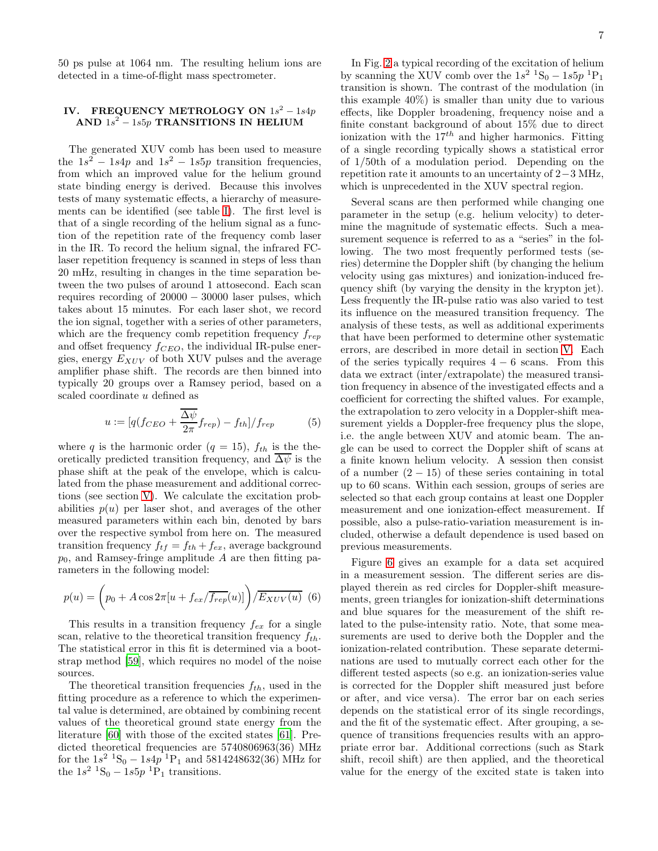50 ps pulse at 1064 nm. The resulting helium ions are detected in a time-of-flight mass spectrometer.

# <span id="page-6-0"></span>IV. FREQUENCY METROLOGY ON  $1s^2 - 1s4p$ AND  $1s^2 - 1s5p$  TRANSITIONS IN HELIUM

The generated XUV comb has been used to measure the  $1s^2 - 1s4p$  and  $1s^2 - 1s5p$  transition frequencies, from which an improved value for the helium ground state binding energy is derived. Because this involves tests of many systematic effects, a hierarchy of measurements can be identified (see table [I\)](#page-14-0). The first level is that of a single recording of the helium signal as a function of the repetition rate of the frequency comb laser in the IR. To record the helium signal, the infrared FClaser repetition frequency is scanned in steps of less than 20 mHz, resulting in changes in the time separation between the two pulses of around 1 attosecond. Each scan requires recording of  $20000 - 30000$  laser pulses, which takes about 15 minutes. For each laser shot, we record the ion signal, together with a series of other parameters, which are the frequency comb repetition frequency  $f_{rep}$ and offset frequency  $f_{CEO}$ , the individual IR-pulse energies, energy  $E_{XUV}$  of both XUV pulses and the average amplifier phase shift. The records are then binned into typically 20 groups over a Ramsey period, based on a scaled coordinate u defined as

$$
u := \left[ q(f_{CEO} + \frac{\overline{\Delta \psi}}{2\pi} f_{rep}) - f_{th} \right] / f_{rep} \tag{5}
$$

where q is the harmonic order  $(q = 15)$ ,  $f_{th}$  is the theoretically predicted transition frequency, and  $\overline{\Delta \psi}$  is the phase shift at the peak of the envelope, which is calculated from the phase measurement and additional corrections (see section [V\)](#page-7-0). We calculate the excitation probabilities  $p(u)$  per laser shot, and averages of the other measured parameters within each bin, denoted by bars over the respective symbol from here on. The measured transition frequency  $f_{tf} = f_{th} + f_{ex}$ , average background  $p_0$ , and Ramsey-fringe amplitude A are then fitting parameters in the following model:

$$
p(u) = \left(p_0 + A\cos 2\pi[u + f_{ex}/\overline{f_{rep}}(u)]\right) / \overline{E_{XUV}(u)} \tag{6}
$$

This results in a transition frequency  $f_{ex}$  for a single scan, relative to the theoretical transition frequency  $f_{th}$ . The statistical error in this fit is determined via a bootstrap method [\[59](#page-17-17)], which requires no model of the noise sources.

The theoretical transition frequencies  $f_{th}$ , used in the fitting procedure as a reference to which the experimental value is determined, are obtained by combining recent values of the theoretical ground state energy from the literature [\[60\]](#page-17-18) with those of the excited states [\[61](#page-17-19)]. Predicted theoretical frequencies are 5740806963(36) MHz for the  $1s^2$   ${}^{1}S_0 - 1s4p$   ${}^{1}P_1$  and  $5814248632(36)$  MHz for the  $1s^2$  <sup>1</sup>S<sub>0</sub> –  $1s5p$ <sup>1</sup>P<sub>1</sub> transitions.

In Fig. [2](#page-3-1) a typical recording of the excitation of helium by scanning the XUV comb over the  $1s^2$   ${}^{1}S_0 - 1s5p$   ${}^{1}P_1$ transition is shown. The contrast of the modulation (in this example 40%) is smaller than unity due to various effects, like Doppler broadening, frequency noise and a finite constant background of about 15% due to direct ionization with the  $17<sup>th</sup>$  and higher harmonics. Fitting of a single recording typically shows a statistical error of 1/50th of a modulation period. Depending on the repetition rate it amounts to an uncertainty of 2−3 MHz, which is unprecedented in the XUV spectral region.

Several scans are then performed while changing one parameter in the setup (e.g. helium velocity) to determine the magnitude of systematic effects. Such a measurement sequence is referred to as a "series" in the following. The two most frequently performed tests (series) determine the Doppler shift (by changing the helium velocity using gas mixtures) and ionization-induced frequency shift (by varying the density in the krypton jet). Less frequently the IR-pulse ratio was also varied to test its influence on the measured transition frequency. The analysis of these tests, as well as additional experiments that have been performed to determine other systematic errors, are described in more detail in section [V.](#page-7-0) Each of the series typically requires  $4 - 6$  scans. From this data we extract (inter/extrapolate) the measured transition frequency in absence of the investigated effects and a coefficient for correcting the shifted values. For example, the extrapolation to zero velocity in a Doppler-shift measurement yields a Doppler-free frequency plus the slope, i.e. the angle between XUV and atomic beam. The angle can be used to correct the Doppler shift of scans at a finite known helium velocity. A session then consist of a number  $(2 - 15)$  of these series containing in total up to 60 scans. Within each session, groups of series are selected so that each group contains at least one Doppler measurement and one ionization-effect measurement. If possible, also a pulse-ratio-variation measurement is included, otherwise a default dependence is used based on previous measurements.

Figure [6](#page-7-1) gives an example for a data set acquired in a measurement session. The different series are displayed therein as red circles for Doppler-shift measurements, green triangles for ionization-shift determinations and blue squares for the measurement of the shift related to the pulse-intensity ratio. Note, that some measurements are used to derive both the Doppler and the ionization-related contribution. These separate determinations are used to mutually correct each other for the different tested aspects (so e.g. an ionization-series value is corrected for the Doppler shift measured just before or after, and vice versa). The error bar on each series depends on the statistical error of its single recordings, and the fit of the systematic effect. After grouping, a sequence of transitions frequencies results with an appropriate error bar. Additional corrections (such as Stark shift, recoil shift) are then applied, and the theoretical value for the energy of the excited state is taken into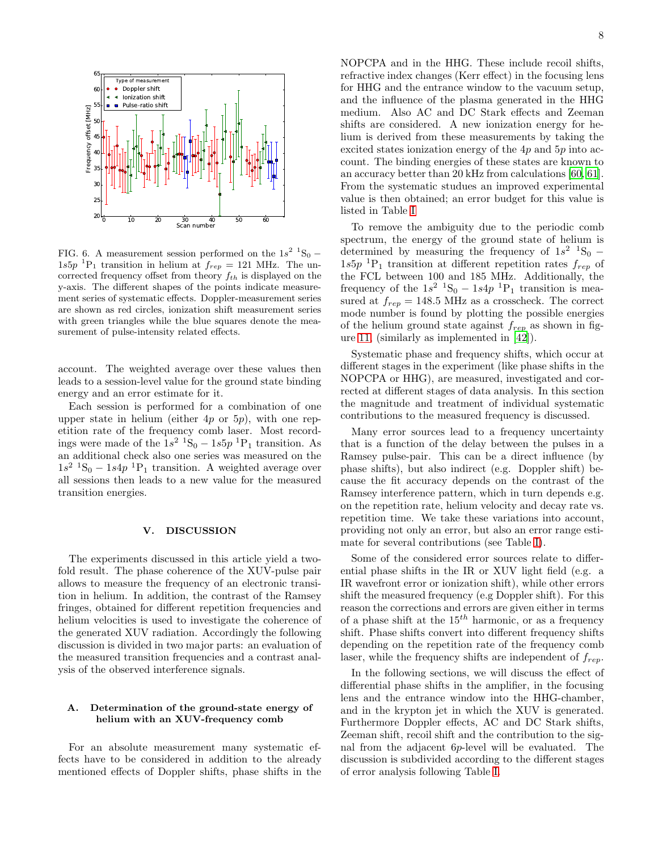

<span id="page-7-1"></span>FIG. 6. A measurement session performed on the  $1s^2$  <sup>1</sup>S<sub>0</sub> –  $1s5p^{-1}P_1$  transition in helium at  $f_{rep} = 121$  MHz. The uncorrected frequency offset from theory  $f_{th}$  is displayed on the y-axis. The different shapes of the points indicate measurement series of systematic effects. Doppler-measurement series are shown as red circles, ionization shift measurement series with green triangles while the blue squares denote the measurement of pulse-intensity related effects.

account. The weighted average over these values then leads to a session-level value for the ground state binding energy and an error estimate for it.

Each session is performed for a combination of one upper state in helium (either  $4p$  or  $5p$ ), with one repetition rate of the frequency comb laser. Most recordings were made of the  $1s^2$  <sup>1</sup>S<sub>0</sub> –  $1s5p$  <sup>1</sup>P<sub>1</sub> transition. As an additional check also one series was measured on the  $1s^2$  <sup>1</sup>S<sub>0</sub> – 1s4p<sup>1</sup>P<sub>1</sub> transition. A weighted average over all sessions then leads to a new value for the measured transition energies.

## <span id="page-7-0"></span>V. DISCUSSION

The experiments discussed in this article yield a twofold result. The phase coherence of the XUV-pulse pair allows to measure the frequency of an electronic transition in helium. In addition, the contrast of the Ramsey fringes, obtained for different repetition frequencies and helium velocities is used to investigate the coherence of the generated XUV radiation. Accordingly the following discussion is divided in two major parts: an evaluation of the measured transition frequencies and a contrast analysis of the observed interference signals.

# A. Determination of the ground-state energy of helium with an XUV-frequency comb

For an absolute measurement many systematic effects have to be considered in addition to the already mentioned effects of Doppler shifts, phase shifts in the NOPCPA and in the HHG. These include recoil shifts, refractive index changes (Kerr effect) in the focusing lens for HHG and the entrance window to the vacuum setup, and the influence of the plasma generated in the HHG medium. Also AC and DC Stark effects and Zeeman shifts are considered. A new ionization energy for helium is derived from these measurements by taking the excited states ionization energy of the  $4p$  and  $5p$  into account. The binding energies of these states are known to an accuracy better than 20 kHz from calculations [\[60,](#page-17-18) [61\]](#page-17-19). From the systematic studues an improved experimental value is then obtained; an error budget for this value is listed in Table [I](#page-14-0)

To remove the ambiguity due to the periodic comb spectrum, the energy of the ground state of helium is determined by measuring the frequency of  $1s^2$  <sup>1</sup>S<sub>0</sub> –  $1s5p$ <sup>1</sup>P<sub>1</sub> transition at different repetition rates  $f_{rep}$  of the FCL between 100 and 185 MHz. Additionally, the frequency of the  $1s^2$  <sup>1</sup>S<sub>0</sub> –  $1s4p$  <sup>1</sup>P<sub>1</sub> transition is measured at  $f_{rep} = 148.5$  MHz as a crosscheck. The correct mode number is found by plotting the possible energies of the helium ground state against  $f_{rep}$  as shown in figure [11,](#page-13-0) (similarly as implemented in [\[42\]](#page-17-3)).

Systematic phase and frequency shifts, which occur at different stages in the experiment (like phase shifts in the NOPCPA or HHG), are measured, investigated and corrected at different stages of data analysis. In this section the magnitude and treatment of individual systematic contributions to the measured frequency is discussed.

Many error sources lead to a frequency uncertainty that is a function of the delay between the pulses in a Ramsey pulse-pair. This can be a direct influence (by phase shifts), but also indirect (e.g. Doppler shift) because the fit accuracy depends on the contrast of the Ramsey interference pattern, which in turn depends e.g. on the repetition rate, helium velocity and decay rate vs. repetition time. We take these variations into account, providing not only an error, but also an error range estimate for several contributions (see Table [I\)](#page-14-0).

Some of the considered error sources relate to differential phase shifts in the IR or XUV light field (e.g. a IR wavefront error or ionization shift), while other errors shift the measured frequency (e.g Doppler shift). For this reason the corrections and errors are given either in terms of a phase shift at the  $15^{th}$  harmonic, or as a frequency shift. Phase shifts convert into different frequency shifts depending on the repetition rate of the frequency comb laser, while the frequency shifts are independent of  $f_{rev}$ .

In the following sections, we will discuss the effect of differential phase shifts in the amplifier, in the focusing lens and the entrance window into the HHG-chamber, and in the krypton jet in which the XUV is generated. Furthermore Doppler effects, AC and DC Stark shifts, Zeeman shift, recoil shift and the contribution to the signal from the adjacent 6p-level will be evaluated. The discussion is subdivided according to the different stages of error analysis following Table [I.](#page-14-0)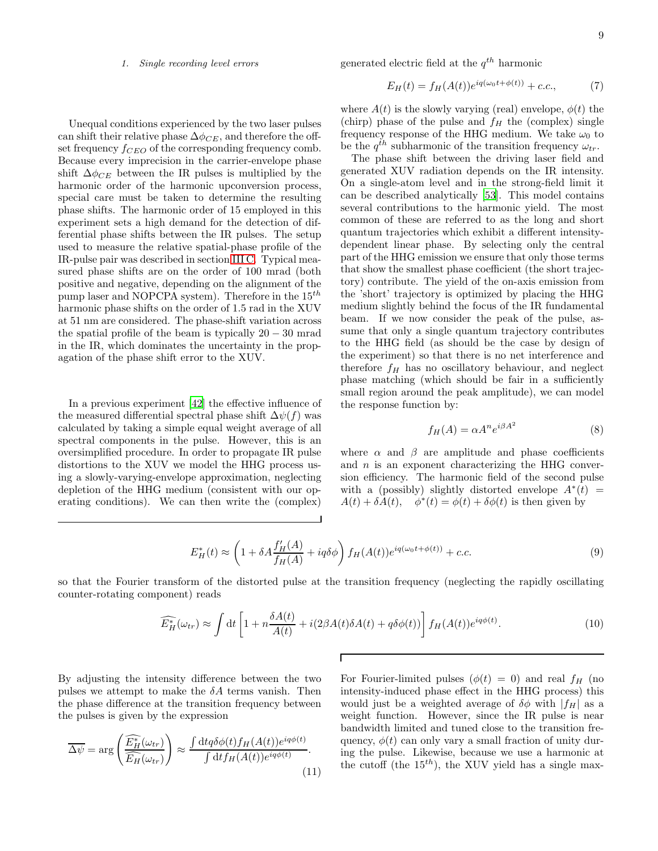### *1. Single recording level errors*

Unequal conditions experienced by the two laser pulses can shift their relative phase  $\Delta \phi_{CE}$ , and therefore the offset frequency  $f_{CEO}$  of the corresponding frequency comb. Because every imprecision in the carrier-envelope phase shift  $\Delta \phi_{CE}$  between the IR pulses is multiplied by the harmonic order of the harmonic upconversion process, special care must be taken to determine the resulting phase shifts. The harmonic order of 15 employed in this experiment sets a high demand for the detection of differential phase shifts between the IR pulses. The setup used to measure the relative spatial-phase profile of the IR-pulse pair was described in section [III C.](#page-4-0) Typical measured phase shifts are on the order of 100 mrad (both positive and negative, depending on the alignment of the pump laser and NOPCPA system). Therefore in the  $15^{th}$ harmonic phase shifts on the order of 1.5 rad in the XUV at 51 nm are considered. The phase-shift variation across the spatial profile of the beam is typically  $20 - 30$  mrad in the IR, which dominates the uncertainty in the propagation of the phase shift error to the XUV.

In a previous experiment [\[42\]](#page-17-3) the effective influence of the measured differential spectral phase shift  $\Delta\psi(f)$  was calculated by taking a simple equal weight average of all spectral components in the pulse. However, this is an oversimplified procedure. In order to propagate IR pulse distortions to the XUV we model the HHG process using a slowly-varying-envelope approximation, neglecting depletion of the HHG medium (consistent with our operating conditions). We can then write the (complex)

generated electric field at the  $q^{th}$  harmonic

$$
E_H(t) = f_H(A(t))e^{iq(\omega_0 t + \phi(t))} + c.c.,
$$
 (7)

where  $A(t)$  is the slowly varying (real) envelope,  $\phi(t)$  the (chirp) phase of the pulse and  $f_H$  the (complex) single frequency response of the HHG medium. We take  $\omega_0$  to be the  $q^{th}$  subharmonic of the transition frequency  $\omega_{tr}$ .

The phase shift between the driving laser field and generated XUV radiation depends on the IR intensity. On a single-atom level and in the strong-field limit it can be described analytically [\[53\]](#page-17-11). This model contains several contributions to the harmonic yield. The most common of these are referred to as the long and short quantum trajectories which exhibit a different intensitydependent linear phase. By selecting only the central part of the HHG emission we ensure that only those terms that show the smallest phase coefficient (the short trajectory) contribute. The yield of the on-axis emission from the 'short' trajectory is optimized by placing the HHG medium slightly behind the focus of the IR fundamental beam. If we now consider the peak of the pulse, assume that only a single quantum trajectory contributes to the HHG field (as should be the case by design of the experiment) so that there is no net interference and therefore  $f_H$  has no oscillatory behaviour, and neglect phase matching (which should be fair in a sufficiently small region around the peak amplitude), we can model the response function by:

$$
f_H(A) = \alpha A^n e^{i\beta A^2} \tag{8}
$$

where  $\alpha$  and  $\beta$  are amplitude and phase coefficients and  $n$  is an exponent characterizing the HHG conversion efficiency. The harmonic field of the second pulse with a (possibly) slightly distorted envelope  $A^*(t)$  =  $A(t) + \delta A(t)$ ,  $\phi^*(t) = \phi(t) + \delta \phi(t)$  is then given by

$$
E_H^*(t) \approx \left(1 + \delta A \frac{f'_H(A)}{f_H(A)} + iq\delta\phi\right) f_H(A(t))e^{iq(\omega_0 t + \phi(t))} + c.c.
$$
\n
$$
(9)
$$

so that the Fourier transform of the distorted pulse at the transition frequency (neglecting the rapidly oscillating counter-rotating component) reads

$$
\widehat{E_H^*}(\omega_{tr}) \approx \int \mathrm{d}t \left[ 1 + n \frac{\delta A(t)}{A(t)} + i(2\beta A(t)\delta A(t) + q\delta\phi(t)) \right] f_H(A(t))e^{iq\phi(t)}.
$$
\n(10)

By adjusting the intensity difference between the two pulses we attempt to make the  $\delta A$  terms vanish. Then the phase difference at the transition frequency between the pulses is given by the expression

$$
\overline{\Delta \psi} = \arg \left( \frac{\widehat{E_H^*}(\omega_{tr})}{\widehat{E_H}(\omega_{tr})} \right) \approx \frac{\int dt q \delta \phi(t) f_H(A(t)) e^{iq\phi(t)}}{\int dt f_H(A(t)) e^{iq\phi(t)}}.
$$
\n(11)

For Fourier-limited pulses  $(\phi(t) = 0)$  and real  $f_H$  (no intensity-induced phase effect in the HHG process) this would just be a weighted average of  $\delta\phi$  with  $|f_H|$  as a weight function. However, since the IR pulse is near bandwidth limited and tuned close to the transition frequency,  $\phi(t)$  can only vary a small fraction of unity during the pulse. Likewise, because we use a harmonic at the cutoff (the  $15^{th}$ ), the XUV yield has a single max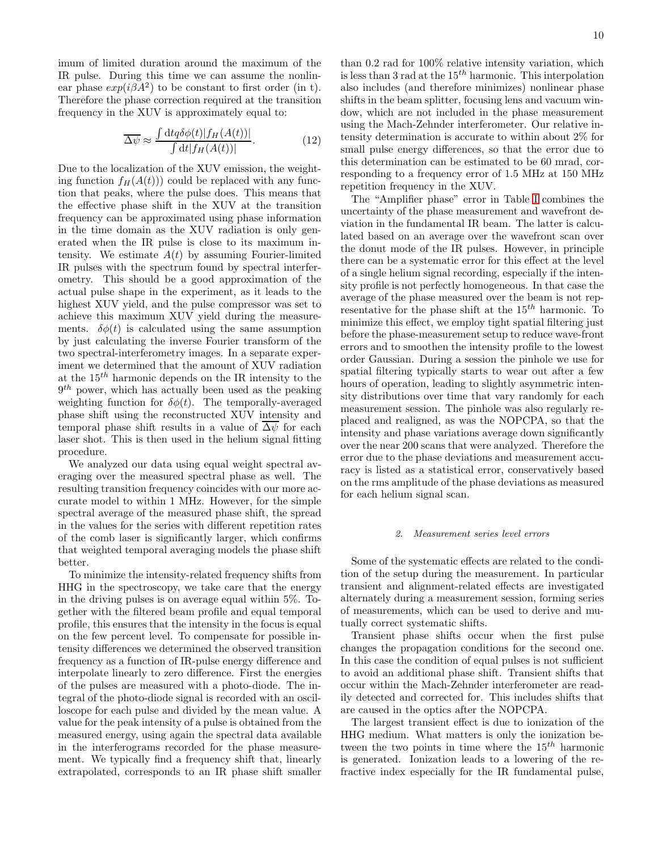imum of limited duration around the maximum of the IR pulse. During this time we can assume the nonlinear phase  $exp(i\beta A^2)$  to be constant to first order (in t). Therefore the phase correction required at the transition frequency in the XUV is approximately equal to:

$$
\overline{\Delta \psi} \approx \frac{\int dt q \delta \phi(t) |f_H(A(t))|}{\int dt |f_H(A(t))|}.
$$
 (12)

Due to the localization of the XUV emission, the weighting function  $f_H(A(t))$  could be replaced with any function that peaks, where the pulse does. This means that the effective phase shift in the XUV at the transition frequency can be approximated using phase information in the time domain as the XUV radiation is only generated when the IR pulse is close to its maximum intensity. We estimate  $A(t)$  by assuming Fourier-limited IR pulses with the spectrum found by spectral interferometry. This should be a good approximation of the actual pulse shape in the experiment, as it leads to the highest XUV yield, and the pulse compressor was set to achieve this maximum XUV yield during the measurements.  $\delta\phi(t)$  is calculated using the same assumption by just calculating the inverse Fourier transform of the two spectral-interferometry images. In a separate experiment we determined that the amount of XUV radiation at the  $15<sup>th</sup>$  harmonic depends on the IR intensity to the  $9<sup>th</sup>$  power, which has actually been used as the peaking weighting function for  $\delta\phi(t)$ . The temporally-averaged phase shift using the reconstructed XUV intensity and temporal phase shift results in a value of  $\Delta\psi$  for each laser shot. This is then used in the helium signal fitting procedure.

We analyzed our data using equal weight spectral averaging over the measured spectral phase as well. The resulting transition frequency coincides with our more accurate model to within 1 MHz. However, for the simple spectral average of the measured phase shift, the spread in the values for the series with different repetition rates of the comb laser is significantly larger, which confirms that weighted temporal averaging models the phase shift better.

To minimize the intensity-related frequency shifts from HHG in the spectroscopy, we take care that the energy in the driving pulses is on average equal within 5%. Together with the filtered beam profile and equal temporal profile, this ensures that the intensity in the focus is equal on the few percent level. To compensate for possible intensity differences we determined the observed transition frequency as a function of IR-pulse energy difference and interpolate linearly to zero difference. First the energies of the pulses are measured with a photo-diode. The integral of the photo-diode signal is recorded with an oscilloscope for each pulse and divided by the mean value. A value for the peak intensity of a pulse is obtained from the measured energy, using again the spectral data available in the interferograms recorded for the phase measurement. We typically find a frequency shift that, linearly extrapolated, corresponds to an IR phase shift smaller

than 0.2 rad for 100% relative intensity variation, which is less than 3 rad at the  $15<sup>th</sup>$  harmonic. This interpolation also includes (and therefore minimizes) nonlinear phase shifts in the beam splitter, focusing lens and vacuum window, which are not included in the phase measurement using the Mach-Zehnder interferometer. Our relative intensity determination is accurate to within about 2% for small pulse energy differences, so that the error due to this determination can be estimated to be 60 mrad, corresponding to a frequency error of 1.5 MHz at 150 MHz repetition frequency in the XUV.

The "Amplifier phase" error in Table [I](#page-14-0) combines the uncertainty of the phase measurement and wavefront deviation in the fundamental IR beam. The latter is calculated based on an average over the wavefront scan over the donut mode of the IR pulses. However, in principle there can be a systematic error for this effect at the level of a single helium signal recording, especially if the intensity profile is not perfectly homogeneous. In that case the average of the phase measured over the beam is not representative for the phase shift at the  $15<sup>th</sup>$  harmonic. To minimize this effect, we employ tight spatial filtering just before the phase-measurement setup to reduce wave-front errors and to smoothen the intensity profile to the lowest order Gaussian. During a session the pinhole we use for spatial filtering typically starts to wear out after a few hours of operation, leading to slightly asymmetric intensity distributions over time that vary randomly for each measurement session. The pinhole was also regularly replaced and realigned, as was the NOPCPA, so that the intensity and phase variations average down significantly over the near 200 scans that were analyzed. Therefore the error due to the phase deviations and measurement accuracy is listed as a statistical error, conservatively based on the rms amplitude of the phase deviations as measured for each helium signal scan.

#### *2. Measurement series level errors*

Some of the systematic effects are related to the condition of the setup during the measurement. In particular transient and alignment-related effects are investigated alternately during a measurement session, forming series of measurements, which can be used to derive and mutually correct systematic shifts.

Transient phase shifts occur when the first pulse changes the propagation conditions for the second one. In this case the condition of equal pulses is not sufficient to avoid an additional phase shift. Transient shifts that occur within the Mach-Zehnder interferometer are readily detected and corrected for. This includes shifts that are caused in the optics after the NOPCPA.

The largest transient effect is due to ionization of the HHG medium. What matters is only the ionization between the two points in time where the  $15^{th}$  harmonic is generated. Ionization leads to a lowering of the refractive index especially for the IR fundamental pulse,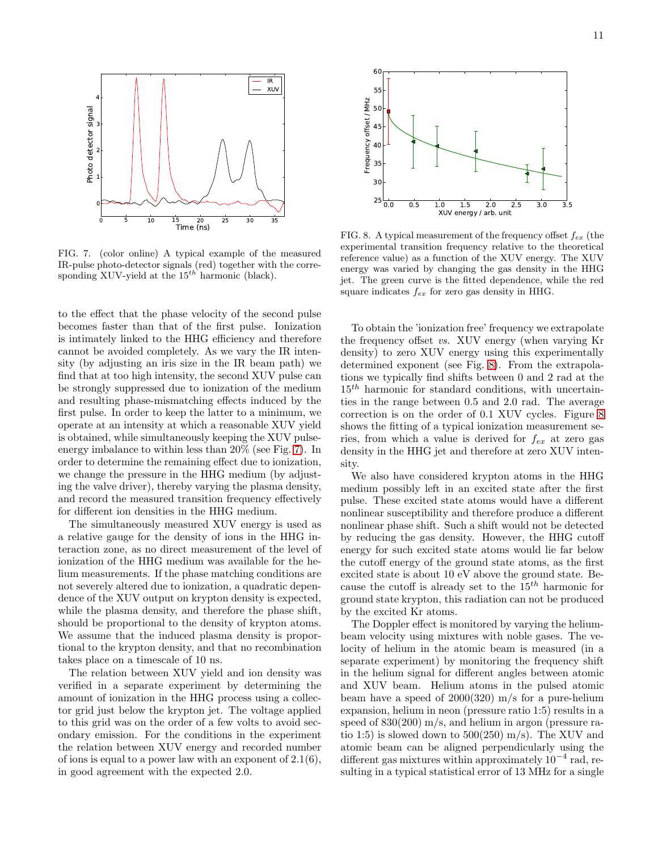

<span id="page-10-0"></span>FIG. 7. (color online) A typical example of the measured IR-pulse photo-detector signals (red) together with the corresponding XUV-yield at the  $15^{th}$  harmonic (black).

to the effect that the phase velocity of the second pulse becomes faster than that of the first pulse. Ionization is intimately linked to the HHG efficiency and therefore cannot be avoided completely. As we vary the IR intensity (by adjusting an iris size in the IR beam path) we find that at too high intensity, the second XUV pulse can be strongly suppressed due to ionization of the medium and resulting phase-mismatching effects induced by the first pulse. In order to keep the latter to a minimum, we operate at an intensity at which a reasonable XUV yield is obtained, while simultaneously keeping the XUV pulseenergy imbalance to within less than 20% (see Fig. [7\)](#page-10-0). In order to determine the remaining effect due to ionization, we change the pressure in the HHG medium (by adjusting the valve driver), thereby varying the plasma density, and record the measured transition frequency effectively for different ion densities in the HHG medium.

The simultaneously measured XUV energy is used as a relative gauge for the density of ions in the HHG interaction zone, as no direct measurement of the level of ionization of the HHG medium was available for the helium measurements. If the phase matching conditions are not severely altered due to ionization, a quadratic dependence of the XUV output on krypton density is expected, while the plasma density, and therefore the phase shift, should be proportional to the density of krypton atoms. We assume that the induced plasma density is proportional to the krypton density, and that no recombination takes place on a timescale of 10 ns.

The relation between XUV yield and ion density was verified in a separate experiment by determining the amount of ionization in the HHG process using a collector grid just below the krypton jet. The voltage applied to this grid was on the order of a few volts to avoid secondary emission. For the conditions in the experiment the relation between XUV energy and recorded number of ions is equal to a power law with an exponent of 2.1(6), in good agreement with the expected 2.0.



<span id="page-10-1"></span>FIG. 8. A typical measurement of the frequency offset  $f_{ex}$  (the experimental transition frequency relative to the theoretical reference value) as a function of the XUV energy. The XUV energy was varied by changing the gas density in the HHG jet. The green curve is the fitted dependence, while the red square indicates  $f_{ex}$  for zero gas density in HHG.

To obtain the 'ionization free' frequency we extrapolate the frequency offset vs. XUV energy (when varying Kr density) to zero XUV energy using this experimentally determined exponent (see Fig. [8\)](#page-10-1). From the extrapolations we typically find shifts between 0 and 2 rad at the  $15<sup>th</sup>$  harmonic for standard conditions, with uncertainties in the range between 0.5 and 2.0 rad. The average correction is on the order of 0.1 XUV cycles. Figure [8](#page-10-1) shows the fitting of a typical ionization measurement series, from which a value is derived for  $f_{ex}$  at zero gas density in the HHG jet and therefore at zero XUV intensity.

We also have considered krypton atoms in the HHG medium possibly left in an excited state after the first pulse. These excited state atoms would have a different nonlinear susceptibility and therefore produce a different nonlinear phase shift. Such a shift would not be detected by reducing the gas density. However, the HHG cutoff energy for such excited state atoms would lie far below the cutoff energy of the ground state atoms, as the first excited state is about 10 eV above the ground state. Because the cutoff is already set to the  $15^{th}$  harmonic for ground state krypton, this radiation can not be produced by the excited Kr atoms.

The Doppler effect is monitored by varying the heliumbeam velocity using mixtures with noble gases. The velocity of helium in the atomic beam is measured (in a separate experiment) by monitoring the frequency shift in the helium signal for different angles between atomic and XUV beam. Helium atoms in the pulsed atomic beam have a speed of  $2000(320)$  m/s for a pure-helium expansion, helium in neon (pressure ratio 1:5) results in a speed of  $830(200)$  m/s, and helium in argon (pressure ratio 1:5) is slowed down to  $500(250)$  m/s). The XUV and atomic beam can be aligned perpendicularly using the different gas mixtures within approximately  $10^{-4}$  rad, resulting in a typical statistical error of 13 MHz for a single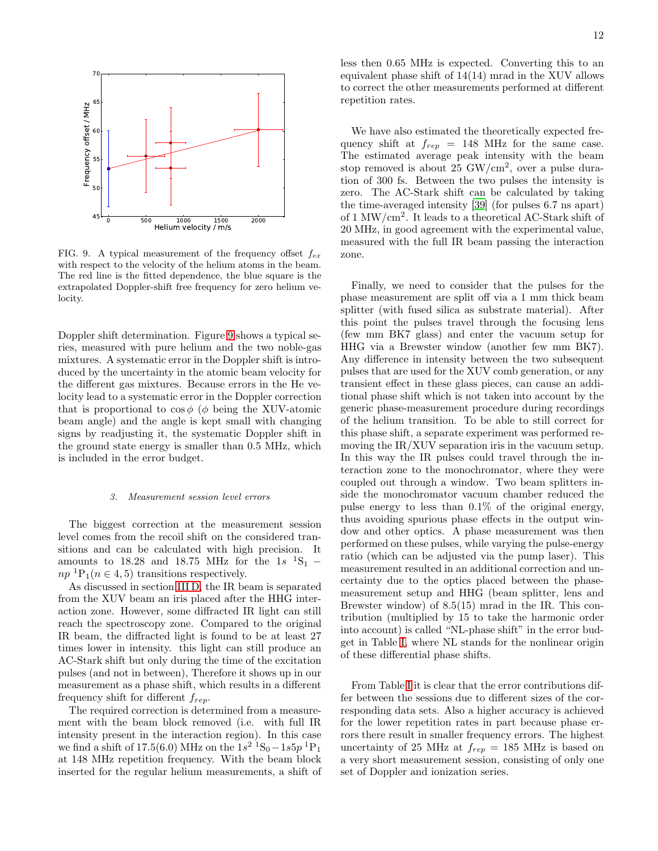

<span id="page-11-0"></span>FIG. 9. A typical measurement of the frequency offset  $f_{ex}$ with respect to the velocity of the helium atoms in the beam. The red line is the fitted dependence, the blue square is the extrapolated Doppler-shift free frequency for zero helium velocity.

Doppler shift determination. Figure [9](#page-11-0) shows a typical series, measured with pure helium and the two noble-gas mixtures. A systematic error in the Doppler shift is introduced by the uncertainty in the atomic beam velocity for the different gas mixtures. Because errors in the He velocity lead to a systematic error in the Doppler correction that is proportional to  $\cos \phi$  ( $\phi$  being the XUV-atomic beam angle) and the angle is kept small with changing signs by readjusting it, the systematic Doppler shift in the ground state energy is smaller than 0.5 MHz, which is included in the error budget.

### <span id="page-11-1"></span>*3. Measurement session level errors*

The biggest correction at the measurement session level comes from the recoil shift on the considered transitions and can be calculated with high precision. It amounts to 18.28 and 18.75 MHz for the  $1s$  <sup>1</sup>S<sub>1</sub> –  $np^{-1}P_1(n \in 4, 5)$  transitions respectively.

As discussed in section [III D,](#page-5-0) the IR beam is separated from the XUV beam an iris placed after the HHG interaction zone. However, some diffracted IR light can still reach the spectroscopy zone. Compared to the original IR beam, the diffracted light is found to be at least 27 times lower in intensity. this light can still produce an AC-Stark shift but only during the time of the excitation pulses (and not in between), Therefore it shows up in our measurement as a phase shift, which results in a different frequency shift for different  $f_{rep}$ .

The required correction is determined from a measurement with the beam block removed (i.e. with full IR intensity present in the interaction region). In this case we find a shift of 17.5(6.0) MHz on the  $1s^2$  <sup>1</sup>S<sub>0</sub> –  $1s5p$  <sup>1</sup>P<sub>1</sub> at 148 MHz repetition frequency. With the beam block inserted for the regular helium measurements, a shift of less then 0.65 MHz is expected. Converting this to an equivalent phase shift of 14(14) mrad in the XUV allows to correct the other measurements performed at different repetition rates.

We have also estimated the theoretically expected frequency shift at  $f_{ren} = 148$  MHz for the same case. The estimated average peak intensity with the beam stop removed is about 25 GW/cm<sup>2</sup> , over a pulse duration of 300 fs. Between the two pulses the intensity is zero. The AC-Stark shift can be calculated by taking the time-averaged intensity [\[39\]](#page-17-1) (for pulses 6.7 ns apart) of 1 MW/ $\text{cm}^2$ . It leads to a theoretical AC-Stark shift of 20 MHz, in good agreement with the experimental value, measured with the full IR beam passing the interaction zone.

Finally, we need to consider that the pulses for the phase measurement are split off via a 1 mm thick beam splitter (with fused silica as substrate material). After this point the pulses travel through the focusing lens (few mm BK7 glass) and enter the vacuum setup for HHG via a Brewster window (another few mm BK7). Any difference in intensity between the two subsequent pulses that are used for the XUV comb generation, or any transient effect in these glass pieces, can cause an additional phase shift which is not taken into account by the generic phase-measurement procedure during recordings of the helium transition. To be able to still correct for this phase shift, a separate experiment was performed removing the IR/XUV separation iris in the vacuum setup. In this way the IR pulses could travel through the interaction zone to the monochromator, where they were coupled out through a window. Two beam splitters inside the monochromator vacuum chamber reduced the pulse energy to less than 0.1% of the original energy, thus avoiding spurious phase effects in the output window and other optics. A phase measurement was then performed on these pulses, while varying the pulse-energy ratio (which can be adjusted via the pump laser). This measurement resulted in an additional correction and uncertainty due to the optics placed between the phasemeasurement setup and HHG (beam splitter, lens and Brewster window) of 8.5(15) mrad in the IR. This contribution (multiplied by 15 to take the harmonic order into account) is called "NL-phase shift" in the error budget in Table [I,](#page-14-0) where NL stands for the nonlinear origin of these differential phase shifts.

From Table [I](#page-14-0) it is clear that the error contributions differ between the sessions due to different sizes of the corresponding data sets. Also a higher accuracy is achieved for the lower repetition rates in part because phase errors there result in smaller frequency errors. The highest uncertainty of 25 MHz at  $f_{rep} = 185$  MHz is based on a very short measurement session, consisting of only one set of Doppler and ionization series.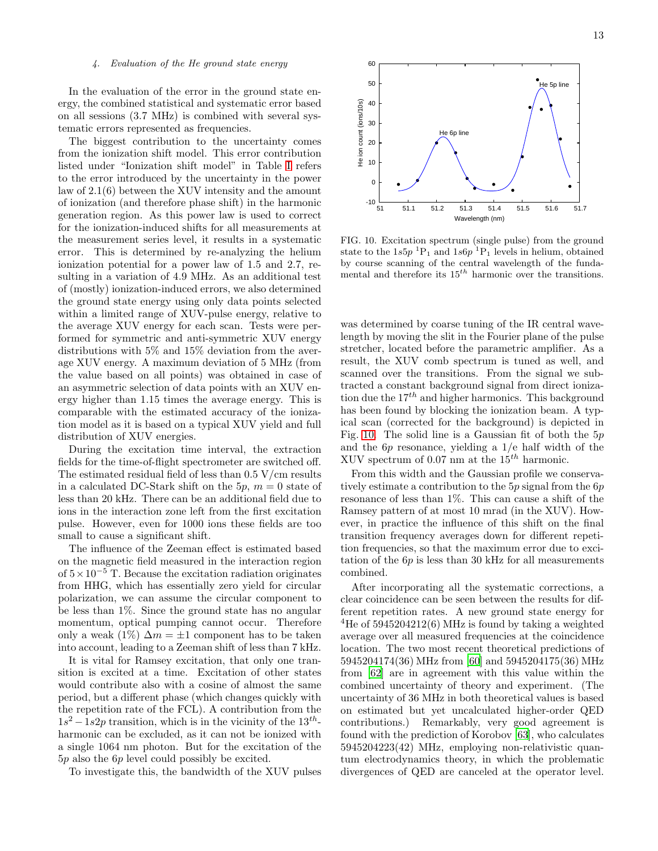## *4. Evaluation of the He ground state energy*

In the evaluation of the error in the ground state energy, the combined statistical and systematic error based on all sessions (3.7 MHz) is combined with several systematic errors represented as frequencies.

The biggest contribution to the uncertainty comes from the ionization shift model. This error contribution listed under "Ionization shift model" in Table [I](#page-14-0) refers to the error introduced by the uncertainty in the power law of 2.1(6) between the XUV intensity and the amount of ionization (and therefore phase shift) in the harmonic generation region. As this power law is used to correct for the ionization-induced shifts for all measurements at the measurement series level, it results in a systematic error. This is determined by re-analyzing the helium ionization potential for a power law of 1.5 and 2.7, resulting in a variation of 4.9 MHz. As an additional test of (mostly) ionization-induced errors, we also determined the ground state energy using only data points selected within a limited range of XUV-pulse energy, relative to the average XUV energy for each scan. Tests were performed for symmetric and anti-symmetric XUV energy distributions with 5% and 15% deviation from the average XUV energy. A maximum deviation of 5 MHz (from the value based on all points) was obtained in case of an asymmetric selection of data points with an XUV energy higher than 1.15 times the average energy. This is comparable with the estimated accuracy of the ionization model as it is based on a typical XUV yield and full distribution of XUV energies.

During the excitation time interval, the extraction fields for the time-of-flight spectrometer are switched off. The estimated residual field of less than 0.5 V/cm results in a calculated DC-Stark shift on the  $5p, m = 0$  state of less than 20 kHz. There can be an additional field due to ions in the interaction zone left from the first excitation pulse. However, even for 1000 ions these fields are too small to cause a significant shift.

The influence of the Zeeman effect is estimated based on the magnetic field measured in the interaction region of  $5 \times 10^{-5}$  T. Because the excitation radiation originates from HHG, which has essentially zero yield for circular polarization, we can assume the circular component to be less than 1%. Since the ground state has no angular momentum, optical pumping cannot occur. Therefore only a weak  $(1\%)$   $\Delta m = \pm 1$  component has to be taken into account, leading to a Zeeman shift of less than 7 kHz.

It is vital for Ramsey excitation, that only one transition is excited at a time. Excitation of other states would contribute also with a cosine of almost the same period, but a different phase (which changes quickly with the repetition rate of the FCL). A contribution from the  $1s^2 - 1s2p$  transition, which is in the vicinity of the  $13^{th}$ harmonic can be excluded, as it can not be ionized with a single 1064 nm photon. But for the excitation of the 5p also the 6p level could possibly be excited.

To investigate this, the bandwidth of the XUV pulses



<span id="page-12-0"></span>FIG. 10. Excitation spectrum (single pulse) from the ground state to the  $1s5p$  <sup>1</sup>P<sub>1</sub> and  $1s6p$  <sup>1</sup>P<sub>1</sub> levels in helium, obtained by course scanning of the central wavelength of the fundamental and therefore its  $15^{th}$  harmonic over the transitions.

was determined by coarse tuning of the IR central wavelength by moving the slit in the Fourier plane of the pulse stretcher, located before the parametric amplifier. As a result, the XUV comb spectrum is tuned as well, and scanned over the transitions. From the signal we subtracted a constant background signal from direct ionization due the  $17<sup>th</sup>$  and higher harmonics. This background has been found by blocking the ionization beam. A typical scan (corrected for the background) is depicted in Fig. [10.](#page-12-0) The solid line is a Gaussian fit of both the  $5p$ and the  $6p$  resonance, yielding a  $1/e$  half width of the XUV spectrum of 0.07 nm at the  $15^{th}$  harmonic.

From this width and the Gaussian profile we conservatively estimate a contribution to the 5p signal from the 6p resonance of less than 1%. This can cause a shift of the Ramsey pattern of at most 10 mrad (in the XUV). However, in practice the influence of this shift on the final transition frequency averages down for different repetition frequencies, so that the maximum error due to excitation of the 6p is less than 30 kHz for all measurements combined.

After incorporating all the systematic corrections, a clear coincidence can be seen between the results for different repetition rates. A new ground state energy for <sup>4</sup>He of 5945204212(6) MHz is found by taking a weighted average over all measured frequencies at the coincidence location. The two most recent theoretical predictions of 5945204174(36) MHz from [\[60\]](#page-17-18) and 5945204175(36) MHz from [\[62\]](#page-17-20) are in agreement with this value within the combined uncertainty of theory and experiment. (The uncertainty of 36 MHz in both theoretical values is based on estimated but yet uncalculated higher-order QED contributions.) Remarkably, very good agreement is found with the prediction of Korobov [\[63\]](#page-17-21), who calculates 5945204223(42) MHz, employing non-relativistic quantum electrodynamics theory, in which the problematic divergences of QED are canceled at the operator level.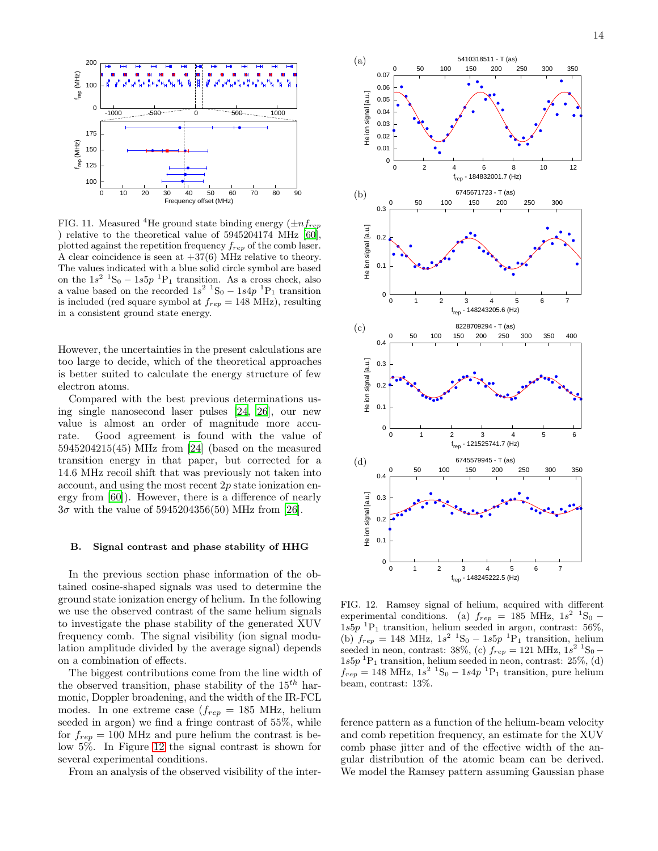

<span id="page-13-0"></span>FIG. 11. Measured <sup>4</sup>He ground state binding energy  $(\pm n f_{rep})$ ) relative to the theoretical value of 5945204174 MHz [\[60\]](#page-17-18), plotted against the repetition frequency  $f_{rep}$  of the comb laser. A clear coincidence is seen at  $+37(6)$  MHz relative to theory. The values indicated with a blue solid circle symbol are based on the  $1s^2$  <sup>1</sup>S<sub>0</sub> –  $1s5p$  <sup>1</sup>P<sub>1</sub> transition. As a cross check, also a value based on the recorded  $1s^2$  <sup>1</sup>S<sub>0</sub> –  $1s4p$  <sup>1</sup>P<sub>1</sub> transition is included (red square symbol at  $f_{rep} = 148 \text{ MHz}$ ), resulting in a consistent ground state energy.

However, the uncertainties in the present calculations are too large to decide, which of the theoretical approaches is better suited to calculate the energy structure of few electron atoms.

Compared with the best previous determinations using single nanosecond laser pulses [\[24,](#page-16-19) [26](#page-16-21)], our new value is almost an order of magnitude more accurate. Good agreement is found with the value of 5945204215(45) MHz from [\[24](#page-16-19)] (based on the measured transition energy in that paper, but corrected for a 14.6 MHz recoil shift that was previously not taken into account, and using the most recent 2p state ionization energy from [\[60\]](#page-17-18)). However, there is a difference of nearly  $3\sigma$  with the value of  $5945204356(50)$  MHz from [\[26\]](#page-16-21).

### B. Signal contrast and phase stability of HHG

In the previous section phase information of the obtained cosine-shaped signals was used to determine the ground state ionization energy of helium. In the following we use the observed contrast of the same helium signals to investigate the phase stability of the generated XUV frequency comb. The signal visibility (ion signal modulation amplitude divided by the average signal) depends on a combination of effects.

The biggest contributions come from the line width of the observed transition, phase stability of the  $15^{th}$  harmonic, Doppler broadening, and the width of the IR-FCL modes. In one extreme case  $(f_{rep} = 185 \text{ MHz}, \text{ helium})$ seeded in argon) we find a fringe contrast of 55%, while for  $f_{rep} = 100$  MHz and pure helium the contrast is below 5%. In Figure [12](#page-13-1) the signal contrast is shown for several experimental conditions.

From an analysis of the observed visibility of the inter-



<span id="page-13-1"></span>FIG. 12. Ramsey signal of helium, acquired with different experimental conditions. (a)  $f_{rep} = 185 \text{ MHz}, 1s^2 \text{ }^1\text{S}_0$  - $1s5p$ <sup>1</sup>P<sub>1</sub> transition, helium seeded in argon, contrast: 56%, (b)  $f_{rep} = 148 \text{ MHz}, 1s^2 \text{ }^1\text{S}_0 - 1s5p \text{ }^1\text{P}_1 \text{ transition}, \text{ helium}$ seeded in neon, contrast:  $38\%,$  (c)  $f_{rep} = 121 \text{ MHz}, 1s^2 \text{ }^1\text{S}_0 1s5p<sup>1</sup>P<sub>1</sub>$  transition, helium seeded in neon, contrast: 25%, (d)  $f_{rep} = 148 \text{ MHz}, 1s<sup>2</sup>~^{1}\text{S}_{0} - 1s4p~^{1}\text{P}_{1}$  transition, pure helium beam, contrast: 13%.

ference pattern as a function of the helium-beam velocity and comb repetition frequency, an estimate for the XUV comb phase jitter and of the effective width of the angular distribution of the atomic beam can be derived. We model the Ramsey pattern assuming Gaussian phase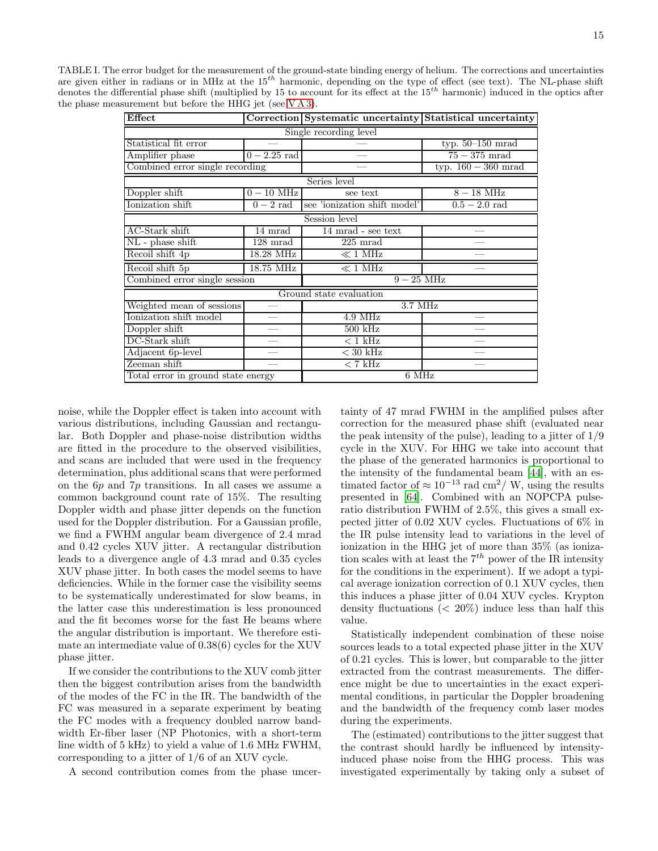15

TABLE I. The error budget for the measurement of the ground-state binding energy of helium. The corrections and uncertainties are given either in radians or in MHz at the  $15<sup>th</sup>$  harmonic, depending on the type of effect (see text). The NL-phase shift denotes the differential phase shift (multiplied by 15 to account for its effect at the  $15^{th}$  harmonic) induced in the optics after the phase measurement but before the HHG jet (see [V A 3\)](#page-11-1).

<span id="page-14-0"></span>

| Effect                             |                    | Correction Systematic uncertainty Statistical uncertainty |                       |
|------------------------------------|--------------------|-----------------------------------------------------------|-----------------------|
| Single recording level             |                    |                                                           |                       |
| Statistical fit error              |                    |                                                           | typ. $50-150$ mrad    |
| Amplifier phase                    | $0 - 2.25$ rad     |                                                           | $75-375$ mrad         |
| Combined error single recording    |                    |                                                           | typ. $160 - 360$ mrad |
| Series level                       |                    |                                                           |                       |
| Doppler shift                      | $0-10$ MHz         | see text                                                  | $8-18$ MHz            |
| Ionization shift                   | $0-2$ rad          | see 'ionization shift model'                              | $0.5 - 2.0$ rad       |
| Session level                      |                    |                                                           |                       |
| AC-Stark shift                     | 14 mrad            | $14\ \mathrm{mrad}$ - see text                            |                       |
| $NL$ - phase shift                 | $128 \text{ mrad}$ | $225 \text{ mrad}$                                        |                       |
| Recoil shift 4p                    | 18.28 MHz          | $\ll 1$ MHz                                               |                       |
| Recoil shift 5p                    | 18.75 MHz          | $\ll 1$ MHz                                               |                       |
| Combined error single session      |                    | $9-25$ MHz                                                |                       |
| Ground state evaluation            |                    |                                                           |                       |
| Weighted mean of sessions          |                    | $3.7$ MHz                                                 |                       |
| Ionization shift model             |                    | $4.9$ MHz                                                 |                       |
| Doppler shift                      |                    | $500$ kHz                                                 |                       |
| DC-Stark shift                     |                    | $<$ 1 kHz                                                 |                       |
| Adjacent 6p-level                  |                    | $< 30$ kHz                                                |                       |
| Zeeman shift                       |                    | $<$ 7 kHz                                                 |                       |
| Total error in ground state energy |                    | 6 MHz                                                     |                       |

noise, while the Doppler effect is taken into account with various distributions, including Gaussian and rectangular. Both Doppler and phase-noise distribution widths are fitted in the procedure to the observed visibilities, and scans are included that were used in the frequency determination, plus additional scans that were performed on the  $6p$  and  $7p$  transitions. In all cases we assume a common background count rate of 15%. The resulting Doppler width and phase jitter depends on the function used for the Doppler distribution. For a Gaussian profile, we find a FWHM angular beam divergence of 2.4 mrad and 0.42 cycles XUV jitter. A rectangular distribution leads to a divergence angle of 4.3 mrad and 0.35 cycles XUV phase jitter. In both cases the model seems to have deficiencies. While in the former case the visibility seems to be systematically underestimated for slow beams, in the latter case this underestimation is less pronounced and the fit becomes worse for the fast He beams where the angular distribution is important. We therefore estimate an intermediate value of 0.38(6) cycles for the XUV phase jitter.

If we consider the contributions to the XUV comb jitter then the biggest contribution arises from the bandwidth of the modes of the FC in the IR. The bandwidth of the FC was measured in a separate experiment by beating the FC modes with a frequency doubled narrow bandwidth Er-fiber laser (NP Photonics, with a short-term line width of 5 kHz) to yield a value of 1.6 MHz FWHM, corresponding to a jitter of 1/6 of an XUV cycle.

A second contribution comes from the phase uncer-

tainty of 47 mrad FWHM in the amplified pulses after correction for the measured phase shift (evaluated near the peak intensity of the pulse), leading to a jitter of 1/9 cycle in the XUV. For HHG we take into account that the phase of the generated harmonics is proportional to the intensity of the fundamental beam [\[44\]](#page-17-5), with an estimated factor of  $\approx 10^{-13}$  rad cm<sup>2</sup>/ W, using the results presented in [\[64\]](#page-17-22). Combined with an NOPCPA pulseratio distribution FWHM of 2.5%, this gives a small expected jitter of 0.02 XUV cycles. Fluctuations of 6% in the IR pulse intensity lead to variations in the level of ionization in the HHG jet of more than 35% (as ionization scales with at least the  $7<sup>th</sup>$  power of the IR intensity for the conditions in the experiment). If we adopt a typical average ionization correction of 0.1 XUV cycles, then this induces a phase jitter of 0.04 XUV cycles. Krypton density fluctuations  $\langle \langle 20\% \rangle$  induce less than half this value.

Statistically independent combination of these noise sources leads to a total expected phase jitter in the XUV of 0.21 cycles. This is lower, but comparable to the jitter extracted from the contrast measurements. The difference might be due to uncertainties in the exact experimental conditions, in particular the Doppler broadening and the bandwidth of the frequency comb laser modes during the experiments.

The (estimated) contributions to the jitter suggest that the contrast should hardly be influenced by intensityinduced phase noise from the HHG process. This was investigated experimentally by taking only a subset of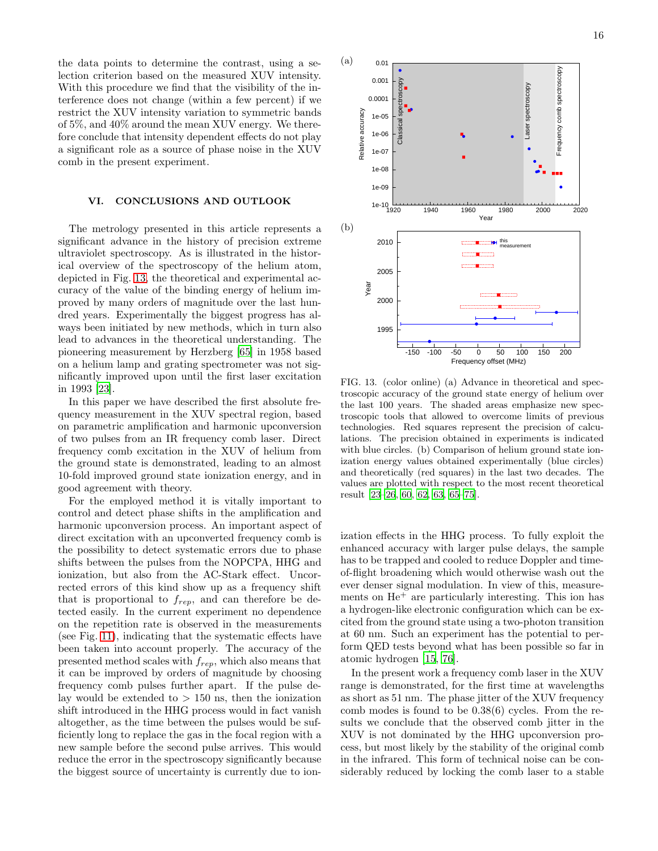the data points to determine the contrast, using a selection criterion based on the measured XUV intensity. With this procedure we find that the visibility of the interference does not change (within a few percent) if we restrict the XUV intensity variation to symmetric bands of 5%, and 40% around the mean XUV energy. We therefore conclude that intensity dependent effects do not play a significant role as a source of phase noise in the XUV comb in the present experiment.

## VI. CONCLUSIONS AND OUTLOOK

The metrology presented in this article represents a significant advance in the history of precision extreme ultraviolet spectroscopy. As is illustrated in the historical overview of the spectroscopy of the helium atom, depicted in Fig. [13,](#page-15-0) the theoretical and experimental accuracy of the value of the binding energy of helium improved by many orders of magnitude over the last hundred years. Experimentally the biggest progress has always been initiated by new methods, which in turn also lead to advances in the theoretical understanding. The pioneering measurement by Herzberg [\[65](#page-17-23)] in 1958 based on a helium lamp and grating spectrometer was not significantly improved upon until the first laser excitation in 1993 [\[23\]](#page-16-18).

In this paper we have described the first absolute frequency measurement in the XUV spectral region, based on parametric amplification and harmonic upconversion of two pulses from an IR frequency comb laser. Direct frequency comb excitation in the XUV of helium from the ground state is demonstrated, leading to an almost 10-fold improved ground state ionization energy, and in good agreement with theory.

For the employed method it is vitally important to control and detect phase shifts in the amplification and harmonic upconversion process. An important aspect of direct excitation with an upconverted frequency comb is the possibility to detect systematic errors due to phase shifts between the pulses from the NOPCPA, HHG and ionization, but also from the AC-Stark effect. Uncorrected errors of this kind show up as a frequency shift that is proportional to  $f_{rep}$ , and can therefore be detected easily. In the current experiment no dependence on the repetition rate is observed in the measurements (see Fig. [11\)](#page-13-0), indicating that the systematic effects have been taken into account properly. The accuracy of the presented method scales with  $f_{rep}$ , which also means that it can be improved by orders of magnitude by choosing frequency comb pulses further apart. If the pulse delay would be extended to  $> 150$  ns, then the ionization shift introduced in the HHG process would in fact vanish altogether, as the time between the pulses would be sufficiently long to replace the gas in the focal region with a new sample before the second pulse arrives. This would reduce the error in the spectroscopy significantly because the biggest source of uncertainty is currently due to ion-



<span id="page-15-0"></span>FIG. 13. (color online) (a) Advance in theoretical and spectroscopic accuracy of the ground state energy of helium over the last 100 years. The shaded areas emphasize new spectroscopic tools that allowed to overcome limits of previous technologies. Red squares represent the precision of calculations. The precision obtained in experiments is indicated with blue circles. (b) Comparison of helium ground state ionization energy values obtained experimentally (blue circles) and theoretically (red squares) in the last two decades. The values are plotted with respect to the most recent theoretical result [\[23](#page-16-18)[–26](#page-16-21), [60](#page-17-18), [62,](#page-17-20) [63,](#page-17-21) [65](#page-17-23)[–75](#page-17-24)].

ization effects in the HHG process. To fully exploit the enhanced accuracy with larger pulse delays, the sample has to be trapped and cooled to reduce Doppler and timeof-flight broadening which would otherwise wash out the ever denser signal modulation. In view of this, measurements on  $He<sup>+</sup>$  are particularly interesting. This ion has a hydrogen-like electronic configuration which can be excited from the ground state using a two-photon transition at 60 nm. Such an experiment has the potential to perform QED tests beyond what has been possible so far in atomic hydrogen [\[15,](#page-16-13) [76\]](#page-17-25).

In the present work a frequency comb laser in the XUV range is demonstrated, for the first time at wavelengths as short as 51 nm. The phase jitter of the XUV frequency comb modes is found to be 0.38(6) cycles. From the results we conclude that the observed comb jitter in the XUV is not dominated by the HHG upconversion process, but most likely by the stability of the original comb in the infrared. This form of technical noise can be considerably reduced by locking the comb laser to a stable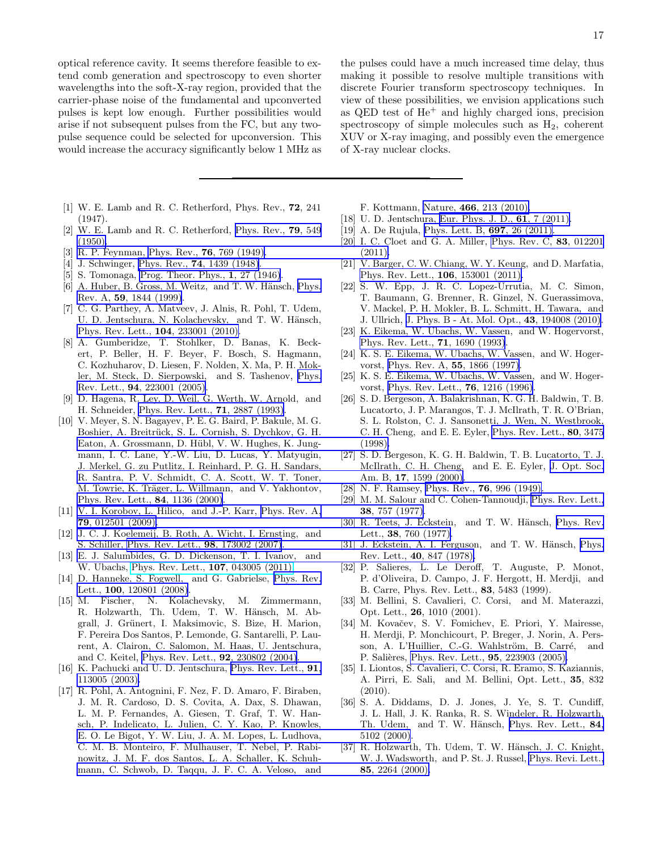optical reference cavity. It seems therefore feasible to extend comb generation and spectroscopy to even shorter wavelengths into the soft-X-ray region, provided that the carrier-phase noise of the fundamental and upconverted pulses is kept low enough. Further possibilities would arise if not subsequent pulses from the FC, but any twopulse sequence could be selected for upconversion. This would increase the accuracy significantly below 1 MHz as

- <span id="page-16-0"></span>[1] W. E. Lamb and R. C. Retherford, Phys. Rev., 72, 241 (1947).
- <span id="page-16-1"></span>[2] W. E. Lamb and R. C. Retherford, [Phys. Rev.,](http://dx.doi.org/10.1103/PhysRev.79.549) 79, 549 [\(1950\).](http://dx.doi.org/10.1103/PhysRev.79.549)
- <span id="page-16-2"></span>[3] [R. P. Feynman, Phys. Rev.,](http://dx.doi.org/10.1103/PhysRevC.83.012201) **76**[, 769 \(1949\)](http://dx.doi.org/10.1103/PhysRev.76.769).
- [4] J. Schwinger, Phys. Rev., **74**[, 1439 \(1948\)](http://dx.doi.org/10.1103/PhysRev.74.1439).
- <span id="page-16-3"></span>[5] S. Tomonaga, [Prog. Theor. Phys.,](http://dx.doi.org/10.1143/PTP.1.27) 1, 27 (1946).
- <span id="page-16-4"></span>[6] A. Huber, B. Gross, M. Weitz, and T. W. Hänsch, [Phys.](http://dx.doi.org/10.1103/PhysRevA.59.1844) Rev. A, 59[, 1844 \(1999\)](http://dx.doi.org/10.1103/PhysRevA.59.1844).
- <span id="page-16-5"></span>[7] C. G. Parthey, A. Matveev, J. Alnis, R. Pohl, T. Udem, U. D. Jentschura, N. Kolachevsky, and T. W. Hänsch, [Phys. Rev. Lett.,](http://dx.doi.org/10.1103/PhysRevLett.104.233001) 104, 233001 (2010).
- <span id="page-16-6"></span>[8] A. Gumberidze, T. Stohlker, D. Banas, K. Beckert, P. Beller, H. F. Beyer, F. Bosch, S. Hagmann, C. Kozhuharov, D. Liesen, F. Nolden, X. Ma, P. H. Mokler, M. Steck, D. Sierpowski, and S. Tashenov, [Phys.](http://dx.doi.org/10.1103/PhysRevLett.94.223001) Rev. Lett., 94[, 223001 \(2005\)](http://dx.doi.org/10.1103/PhysRevLett.94.223001).
- <span id="page-16-7"></span>[9] D. Hagena, R. Ley, D. Weil, G. Werth, W. Arnold, and H. Schneider, [Phys. Rev. Lett.,](http://dx.doi.org/10.1103/PhysRevLett.71.2887) 71, 2887 (1993).
- <span id="page-16-8"></span>[10] V. Meyer, S. N. Bagayev, P. E. G. Baird, P. Bakule, M. G. Boshier, A. Breitrück, S. L. Cornish, S. Dychkov, G. H. Eaton, A. Grossmann, D. Hübl, V. W. Hughes, K. Jungmann, I. C. Lane, Y.-W. Liu, D. Lucas, Y. Matyugin, J. Merkel, G. zu Putlitz, I. Reinhard, P. G. H. Sandars, [R. Santra, P. V. Schmidt, C. A. Scott, W. T. Toner,](http://dx.doi.org/10.1364/JOSAB.17.001599) M. Towrie, K. Träger, L. Willmann, and V. Yakhontov, [Phys. Rev. Lett.,](http://dx.doi.org/10.1103/PhysRevLett.84.1136) 84, 1136 (2000).
- <span id="page-16-9"></span>[11] [V. I. Korobov, L. Hilico, and J.-P. Karr, P](http://dx.doi.org/10.1103/PhysRevLett.38.757)[hys. Rev. A](http://dx.doi.org/10.1103/PhysRevA.79.012501)[,](http://dx.doi.org/10.1103/PhysRevLett.38.757) 79[, 012501 \(2009\).](http://dx.doi.org/10.1103/PhysRevA.79.012501)
- <span id="page-16-10"></span>[12] [J. C. J. Koelemeij, B. Roth, A. Wicht, I. Ernsting, and](http://dx.doi.org/10.1103/PhysRevLett.38.760) S. Schiller, [Phys. Rev. Lett.,](http://dx.doi.org/10.1103/PhysRevLett.98.173002) 98, 173002 (2007).
- <span id="page-16-11"></span>[13] [E. J. Salumbides, G. D. Dickenson, T. I. Ivanov, and](http://dx.doi.org/10.1103/PhysRevLett.40.847) W. Ubachs, [Phys. Rev. Lett.,](http://prl.aps.org/abstract/PRL/v107/i4/e043005) 107, 043005 (2011).
- <span id="page-16-12"></span>[14] D. Hanneke, S. Fogwell, and G. Gabrielse, [Phys. Rev.](http://dx.doi.org/10.1103/PhysRevLett.100.120801) Lett., 100[, 120801 \(2008\)](http://dx.doi.org/10.1103/PhysRevLett.100.120801).
- <span id="page-16-13"></span>[15] M. Fischer, N. Kolachevsky, M. Zimmermann, R. Holzwarth, Th. Udem, T. W. Hänsch, M. Abgrall, J. Grünert, I. Maksimovic, S. Bize, H. Marion, F. Pereira Dos Santos, P. Lemonde, G. Santarelli, P. Laurent, A. Clairon, C. Salomon, M. Haas, U. Jentschura, and C. Keitel, [Phys. Rev. Lett.,](http://dx.doi.org/10.1103/PhysRevLett.92.230802) 92, 230802 (2004).
- [16] K. Pachucki and U. D. Jentschura, [Phys. Rev. Lett.,](http://dx.doi.org/10.1103/PhysRevLett.91.113005)  $91$ , [113005 \(2003\).](http://dx.doi.org/10.1103/PhysRevLett.91.113005)
- <span id="page-16-14"></span>[17] R. Pohl, A. Antognini, F. Nez, F. D. Amaro, F. Biraben, J. M. R. Cardoso, D. S. Covita, A. Dax, S. Dhawan, L. M. P. Fernandes, A. Giesen, T. Graf, T. W. Hansch, P. Indelicato, L. Julien, C. Y. Kao, P. Knowles, [E. O. Le Bigot, Y. W. Liu, J. A. M. Lopes, L. Ludhova,](http://dx.doi.org/10.1103/PhysRevLett.84.5102) C. M. B. Monteiro, F. Mulhauser, T. Nebel, P. Rabinowitz, J. M. F. dos Santos, L. A. Schaller, K. Schuh[mann, C. Schwob, D. Taqqu, J. F. C. A. Veloso, and](http://dx.doi.org/10.1103/PhysRevLett.85.2264)

the pulses could have a much increased time delay, thus making it possible to resolve multiple transitions with discrete Fourier transform spectroscopy techniques. In view of these possibilities, we envision applications such as QED test of  $He<sup>+</sup>$  and highly charged ions, precision spectroscopy of simple molecules such as  $H_2$ , coherent XUV or X-ray imaging, and possibly even the emergence of X-ray nuclear clocks.

- F. Kottmann, Nature, 466[, 213 \(2010\).](http://dx.doi.org/10.1038/nature09250)
- <span id="page-16-15"></span>[18] U. D. Jentschura, [Eur. Phys. J. D.,](http://dx.doi.org/10.1140/epjd/e2010-10414-6) **61**, 7 (2011).
- [19] A. De Rujula, [Phys. Lett. B,](http://dx.doi.org/10.1016/j.physletb.2011.01.025) 697, 26 (2011).
- [20] I. C. Cloet and G. A. Miller, [Phys. Rev. C,](http://dx.doi.org/10.1103/PhysRevC.83.012201) 83, 012201 (2011).
- <span id="page-16-16"></span>[21] V. Barger, C. W. Chiang, W. Y. Keung, and D. Marfatia, [Phys. Rev. Lett.,](http://dx.doi.org/10.1103/PhysRevLett.106.153001) 106, 153001 (2011).
- <span id="page-16-17"></span>[22] S. W. Epp, J. R. C. Lopez-Urrutia, M. C. Simon, T. Baumann, G. Brenner, R. Ginzel, N. Guerassimova, V. Mackel, P. H. Mokler, B. L. Schmitt, H. Tawara, and J. Ullrich, [J. Phys. B - At. Mol. Opt.,](http://dx.doi.org/10.1088/0953-4075/43/19/194008) 43, 194008 (2010).
- <span id="page-16-18"></span>[23] K. Eikema, W. Ubachs, W. Vassen, and W. Hogervorst, [Phys. Rev. Lett.,](http://dx.doi.org/10.1103/PhysRevLett.71.1690) 71, 1690 (1993).
- <span id="page-16-19"></span>[24] K. S. E. Eikema, W. Ubachs, W. Vassen, and W. Hogervorst, [Phys. Rev. A,](http://dx.doi.org/10.1103/PhysRevA.55.1866) 55, 1866 (1997).
- <span id="page-16-20"></span>[25] K. S. E. Eikema, W. Ubachs, W. Vassen, and W. Hogervorst, [Phys. Rev. Lett.,](http://dx.doi.org/10.1103/PhysRevLett.76.1216) 76, 1216 (1996).
- <span id="page-16-21"></span>[26] S. D. Bergeson, A. Balakrishnan, K. G. H. Baldwin, T. B. Lucatorto, J. P. Marangos, T. J. McIlrath, T. R. O'Brian, S. L. Rolston, C. J. Sansonetti, J. Wen, N. Westbrook, C. H. Cheng, and E. E. Eyler, [Phys. Rev. Lett.,](http://dx.doi.org/10.1103/PhysRevLett.80.3475) 80, 3475 (1998).
- <span id="page-16-22"></span>[27] S. D. Bergeson, K. G. H. Baldwin, T. B. Lucatorto, T. J. McIlrath, C. H. Cheng, and E. E. Eyler, [J. Opt. Soc.](http://dx.doi.org/10.1364/JOSAB.17.001599) Am. B, 17, 1599 (2000).
- <span id="page-16-23"></span>[28] N. F. Ramsey, Phys. Rev.,  $76$ [, 996 \(1949\).](http://dx.doi.org/10.1103/PhysRev.76.996)<br>[29] M. M. Salour and C. Cohen-Tannoudii. Ph
- <span id="page-16-24"></span>M. M. Salour and C. Cohen-Tannoudji, [Phys. Rev. Lett.,](http://dx.doi.org/10.1103/PhysRevLett.38.757) 38, 757 (1977).
- <span id="page-16-25"></span>[30] R. Teets, J. Eckstein, and T. W. Hänsch, [Phys. Rev.](http://dx.doi.org/10.1103/PhysRevLett.38.760) Lett., 38, 760 (1977).
- <span id="page-16-26"></span>[31] J. Eckstein, A. I. Ferguson, and T. W. Hänsch, [Phys.](http://dx.doi.org/10.1103/PhysRevLett.40.847) Rev. Lett., 40, 847 (1978).
- <span id="page-16-27"></span>[32] P. Salieres, L. Le Deroff, T. Auguste, P. Monot, P. d'Oliveira, D. Campo, J. F. Hergott, H. Merdji, and B. Carre, Phys. Rev. Lett., 83, 5483 (1999).
- <span id="page-16-32"></span>[33] M. Bellini, S. Cavalieri, C. Corsi, and M. Materazzi, Opt. Lett., 26, 1010 (2001).
- <span id="page-16-28"></span>[34] M. Kovačev, S. V. Fomichev, E. Priori, Y. Mairesse, H. Merdji, P. Monchicourt, P. Breger, J. Norin, A. Persson, A. L'Huillier, C.-G. Wahlström, B. Carré, and P. Salières, [Phys. Rev. Lett.,](http://dx.doi.org/10.1103/PhysRevLett.95.223903) **95**, 223903 (2005).
- <span id="page-16-29"></span>[35] I. Liontos, S. Cavalieri, C. Corsi, R. Eramo, S. Kaziannis, A. Pirri, E. Sali, and M. Bellini, Opt. Lett., 35, 832  $(2010).$
- <span id="page-16-30"></span>[36] S. A. Diddams, D. J. Jones, J. Ye, S. T. Cundiff, J. L. Hall, J. K. Ranka, R. S. Windeler, R. Holzwarth, Th. Udem, and T. W. Hänsch, [Phys. Rev. Lett.,](http://dx.doi.org/10.1103/PhysRevLett.84.5102) 84, 5102 (2000).
- <span id="page-16-31"></span>[37] R. Holzwarth, Th. Udem, T. W. Hänsch, J. C. Knight, W. J. Wadsworth, and P. St. J. Russel, [Phys. Revi. Lett.,](http://dx.doi.org/10.1103/PhysRevLett.85.2264) 85, 2264 (2000).